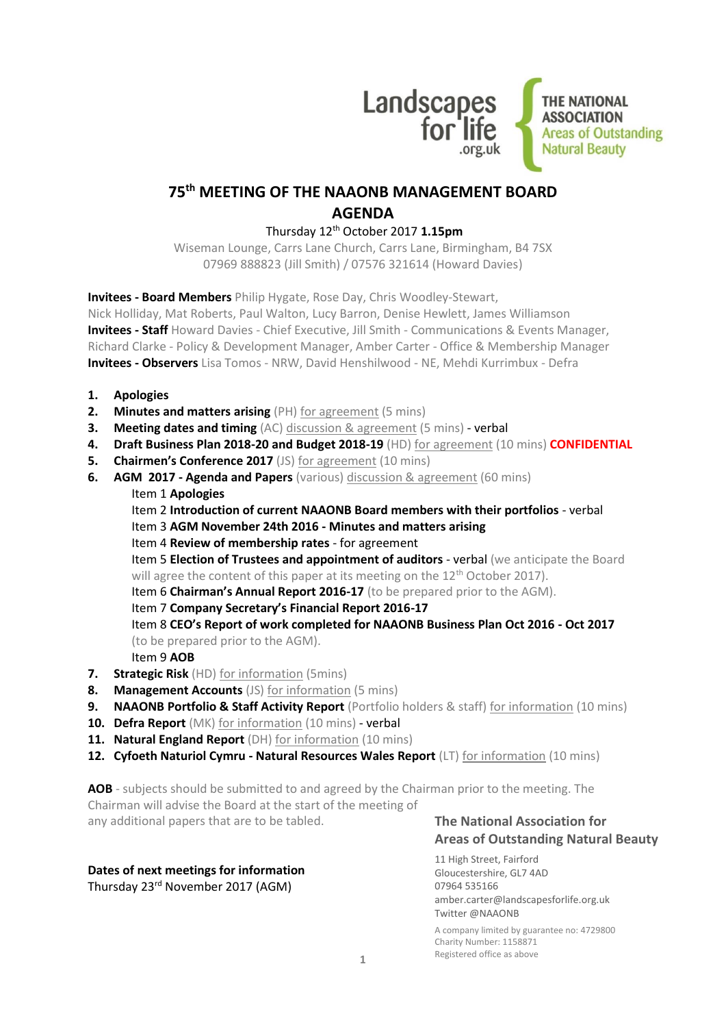

# **75 th MEETING OF THE NAAONB MANAGEMENT BOARD AGENDA**

### Thursday 12th October 2017 **1.15pm**

Wiseman Lounge, Carrs Lane Church, Carrs Lane, Birmingham, B4 7SX 07969 888823 (Jill Smith) / 07576 321614 (Howard Davies)

**Invitees - Board Members** Philip Hygate, Rose Day, Chris Woodley-Stewart, Nick Holliday, Mat Roberts, Paul Walton, Lucy Barron, Denise Hewlett, James Williamson **Invitees - Staff** Howard Davies - Chief Executive, Jill Smith - Communications & Events Manager, Richard Clarke - Policy & Development Manager, Amber Carter - Office & Membership Manager **Invitees - Observers** Lisa Tomos - NRW, David Henshilwood - NE, Mehdi Kurrimbux - Defra

- **1. Apologies**
- **2. Minutes and matters arising** (PH) for agreement (5 mins)
- **3. Meeting dates and timing** (AC) discussion & agreement (5 mins) verbal
- **4. Draft Business Plan 2018-20 and Budget 2018-19** (HD) for agreement (10 mins) **CONFIDENTIAL**
- **5. Chairmen's Conference 2017** (JS) for agreement (10 mins)
- **6. AGM 2017 - Agenda and Papers** (various) discussion & agreement (60 mins) Item 1 **Apologies**
	- Item 2 **Introduction of current NAAONB Board members with their portfolios**  verbal Item 3 **AGM November 24th 2016 - Minutes and matters arising** Item 4 **Review of membership rates** - for agreement Item 5 **Election of Trustees and appointment of auditors** - verbal (we anticipate the Board will agree the content of this paper at its meeting on the  $12<sup>th</sup>$  October 2017). Item 6 **Chairman's Annual Report 2016-17** (to be prepared prior to the AGM). Item 7 **Company Secretary's Financial Report 2016-17** Item 8 **CEO's Report of work completed for NAAONB Business Plan Oct 2016 - Oct 2017** (to be prepared prior to the AGM). Item 9 **AOB**
- **7. Strategic Risk** (HD) for information (5mins)
- **8. Management Accounts** (JS) for information (5 mins)
- **9. NAAONB Portfolio & Staff Activity Report** (Portfolio holders & staff) for information (10 mins)
- **10. Defra Report** (MK) for information (10 mins) verbal
- 11. **Natural England Report** (DH) for information (10 mins)
- **12. Cyfoeth Naturiol Cymru - Natural Resources Wales Report** (LT) for information (10 mins)

**AOB** - subjects should be submitted to and agreed by the Chairman prior to the meeting. The Chairman will advise the Board at the start of the meeting of any additional papers that are to be tabled.

### **Dates of next meetings for information** Thursday 23rd November 2017 (AGM)

# **The National Association for Areas of Outstanding Natural Beauty**

11 High Street, Fairford Gloucestershire, GL7 4AD 07964 535166 amber.carter@landscapesforlife.org.uk Twitter @NAAONB

A company limited by guarantee no: 4729800 Charity Number: 1158871 Registered office as above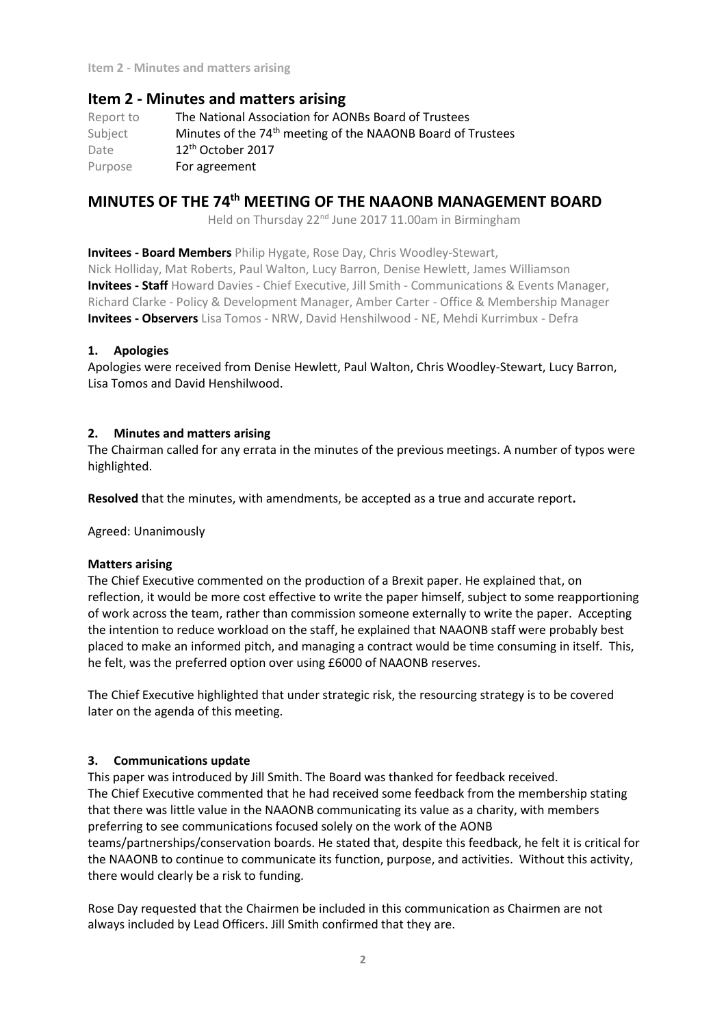**Item 2 - Minutes and matters arising**

# **Item 2 - Minutes and matters arising**

Report to The National Association for AONBs Board of Trustees Subject Minutes of the 74<sup>th</sup> meeting of the NAAONB Board of Trustees Date 12th October 2017 Purpose For agreement

# **MINUTES OF THE 74th MEETING OF THE NAAONB MANAGEMENT BOARD**

Held on Thursday 22<sup>nd</sup> June 2017 11.00am in Birmingham

**Invitees - Board Members** Philip Hygate, Rose Day, Chris Woodley-Stewart,

Nick Holliday, Mat Roberts, Paul Walton, Lucy Barron, Denise Hewlett, James Williamson **Invitees - Staff** Howard Davies - Chief Executive, Jill Smith - Communications & Events Manager, Richard Clarke - Policy & Development Manager, Amber Carter - Office & Membership Manager **Invitees - Observers** Lisa Tomos - NRW, David Henshilwood - NE, Mehdi Kurrimbux - Defra

### **1. Apologies**

Apologies were received from Denise Hewlett, Paul Walton, Chris Woodley-Stewart, Lucy Barron, Lisa Tomos and David Henshilwood.

### **2. Minutes and matters arising**

The Chairman called for any errata in the minutes of the previous meetings. A number of typos were highlighted.

**Resolved** that the minutes, with amendments, be accepted as a true and accurate report**.**

Agreed: Unanimously

### **Matters arising**

The Chief Executive commented on the production of a Brexit paper. He explained that, on reflection, it would be more cost effective to write the paper himself, subject to some reapportioning of work across the team, rather than commission someone externally to write the paper. Accepting the intention to reduce workload on the staff, he explained that NAAONB staff were probably best placed to make an informed pitch, and managing a contract would be time consuming in itself. This, he felt, was the preferred option over using £6000 of NAAONB reserves.

The Chief Executive highlighted that under strategic risk, the resourcing strategy is to be covered later on the agenda of this meeting.

### **3. Communications update**

This paper was introduced by Jill Smith. The Board was thanked for feedback received. The Chief Executive commented that he had received some feedback from the membership stating that there was little value in the NAAONB communicating its value as a charity, with members preferring to see communications focused solely on the work of the AONB teams/partnerships/conservation boards. He stated that, despite this feedback, he felt it is critical for the NAAONB to continue to communicate its function, purpose, and activities. Without this activity, there would clearly be a risk to funding.

Rose Day requested that the Chairmen be included in this communication as Chairmen are not always included by Lead Officers. Jill Smith confirmed that they are.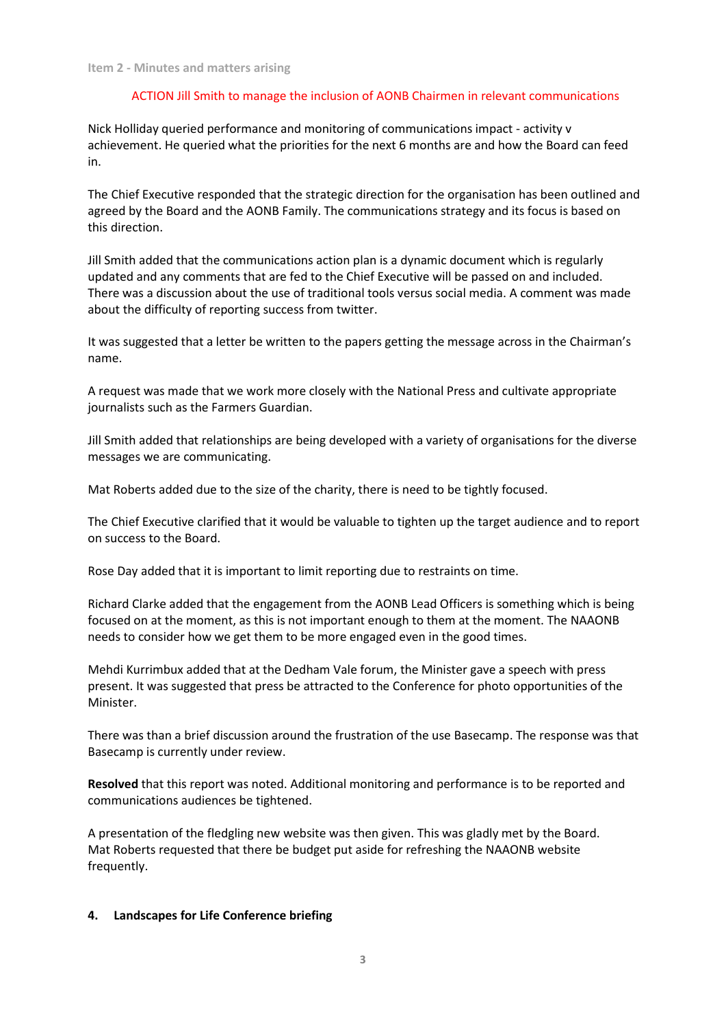### ACTION Jill Smith to manage the inclusion of AONB Chairmen in relevant communications

Nick Holliday queried performance and monitoring of communications impact - activity v achievement. He queried what the priorities for the next 6 months are and how the Board can feed in.

The Chief Executive responded that the strategic direction for the organisation has been outlined and agreed by the Board and the AONB Family. The communications strategy and its focus is based on this direction.

Jill Smith added that the communications action plan is a dynamic document which is regularly updated and any comments that are fed to the Chief Executive will be passed on and included. There was a discussion about the use of traditional tools versus social media. A comment was made about the difficulty of reporting success from twitter.

It was suggested that a letter be written to the papers getting the message across in the Chairman's name.

A request was made that we work more closely with the National Press and cultivate appropriate journalists such as the Farmers Guardian.

Jill Smith added that relationships are being developed with a variety of organisations for the diverse messages we are communicating.

Mat Roberts added due to the size of the charity, there is need to be tightly focused.

The Chief Executive clarified that it would be valuable to tighten up the target audience and to report on success to the Board.

Rose Day added that it is important to limit reporting due to restraints on time.

Richard Clarke added that the engagement from the AONB Lead Officers is something which is being focused on at the moment, as this is not important enough to them at the moment. The NAAONB needs to consider how we get them to be more engaged even in the good times.

Mehdi Kurrimbux added that at the Dedham Vale forum, the Minister gave a speech with press present. It was suggested that press be attracted to the Conference for photo opportunities of the Minister.

There was than a brief discussion around the frustration of the use Basecamp. The response was that Basecamp is currently under review.

**Resolved** that this report was noted. Additional monitoring and performance is to be reported and communications audiences be tightened.

A presentation of the fledgling new website was then given. This was gladly met by the Board. Mat Roberts requested that there be budget put aside for refreshing the NAAONB website frequently.

### **4. Landscapes for Life Conference briefing**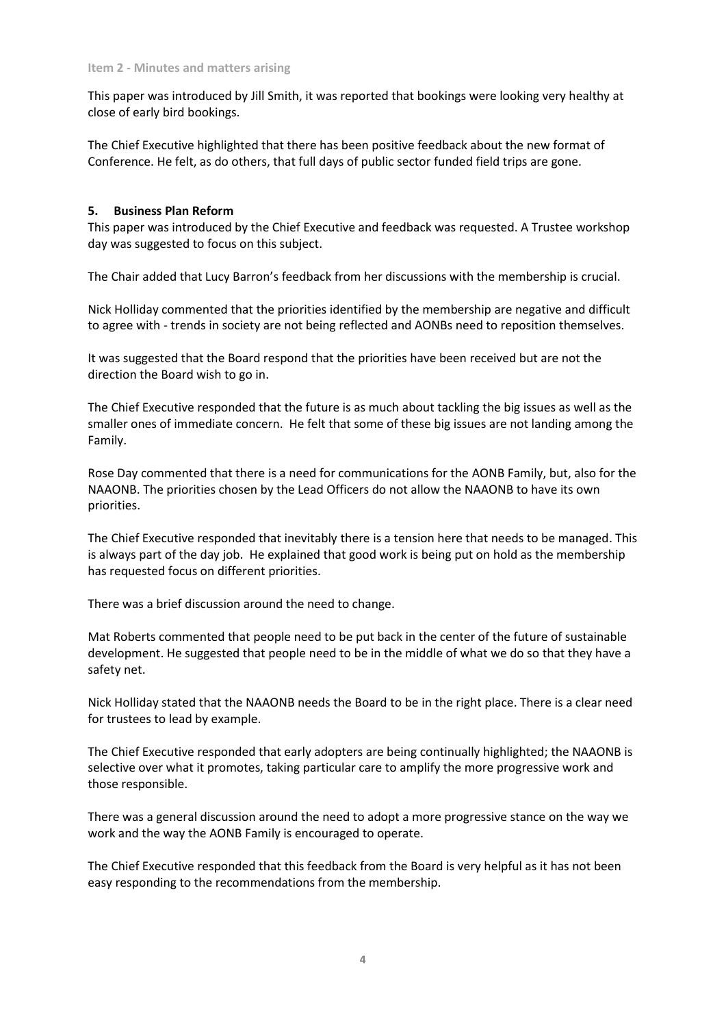This paper was introduced by Jill Smith, it was reported that bookings were looking very healthy at close of early bird bookings.

The Chief Executive highlighted that there has been positive feedback about the new format of Conference. He felt, as do others, that full days of public sector funded field trips are gone.

### **5. Business Plan Reform**

This paper was introduced by the Chief Executive and feedback was requested. A Trustee workshop day was suggested to focus on this subject.

The Chair added that Lucy Barron's feedback from her discussions with the membership is crucial.

Nick Holliday commented that the priorities identified by the membership are negative and difficult to agree with - trends in society are not being reflected and AONBs need to reposition themselves.

It was suggested that the Board respond that the priorities have been received but are not the direction the Board wish to go in.

The Chief Executive responded that the future is as much about tackling the big issues as well as the smaller ones of immediate concern. He felt that some of these big issues are not landing among the Family.

Rose Day commented that there is a need for communications for the AONB Family, but, also for the NAAONB. The priorities chosen by the Lead Officers do not allow the NAAONB to have its own priorities.

The Chief Executive responded that inevitably there is a tension here that needs to be managed. This is always part of the day job. He explained that good work is being put on hold as the membership has requested focus on different priorities.

There was a brief discussion around the need to change.

Mat Roberts commented that people need to be put back in the center of the future of sustainable development. He suggested that people need to be in the middle of what we do so that they have a safety net.

Nick Holliday stated that the NAAONB needs the Board to be in the right place. There is a clear need for trustees to lead by example.

The Chief Executive responded that early adopters are being continually highlighted; the NAAONB is selective over what it promotes, taking particular care to amplify the more progressive work and those responsible.

There was a general discussion around the need to adopt a more progressive stance on the way we work and the way the AONB Family is encouraged to operate.

The Chief Executive responded that this feedback from the Board is very helpful as it has not been easy responding to the recommendations from the membership.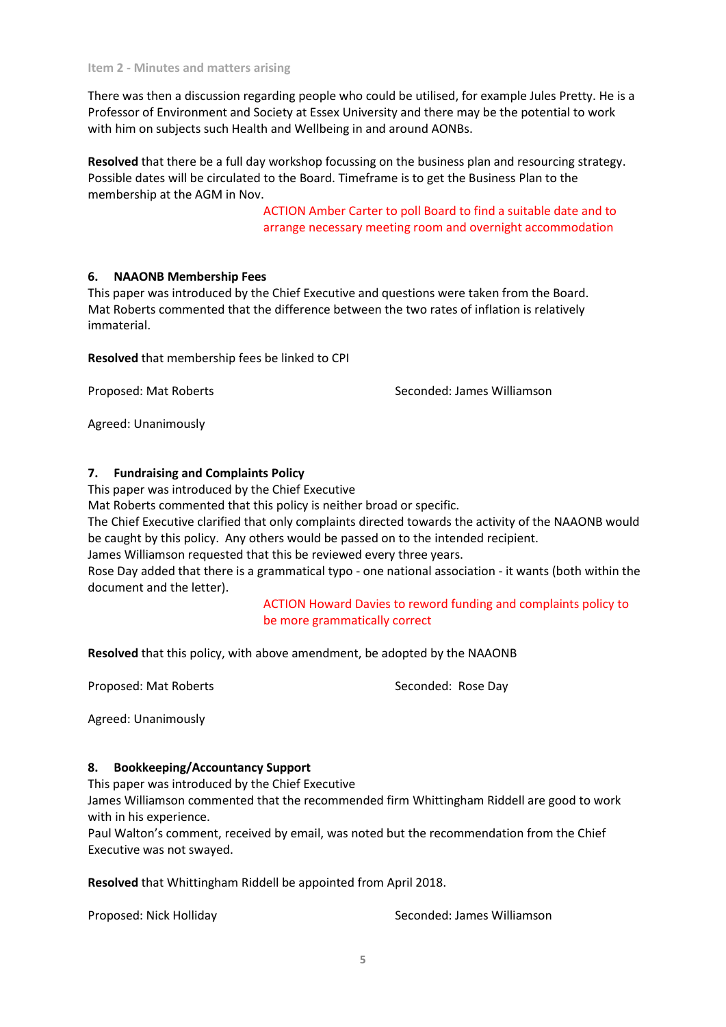**Item 2 - Minutes and matters arising**

There was then a discussion regarding people who could be utilised, for example Jules Pretty. He is a Professor of Environment and Society at Essex University and there may be the potential to work with him on subjects such Health and Wellbeing in and around AONBs.

**Resolved** that there be a full day workshop focussing on the business plan and resourcing strategy. Possible dates will be circulated to the Board. Timeframe is to get the Business Plan to the membership at the AGM in Nov.

> ACTION Amber Carter to poll Board to find a suitable date and to arrange necessary meeting room and overnight accommodation

### **6. NAAONB Membership Fees**

This paper was introduced by the Chief Executive and questions were taken from the Board. Mat Roberts commented that the difference between the two rates of inflation is relatively immaterial.

**Resolved** that membership fees be linked to CPI

Proposed: Mat Roberts Seconded: James Williamson

Agreed: Unanimously

### **7. Fundraising and Complaints Policy**

This paper was introduced by the Chief Executive

Mat Roberts commented that this policy is neither broad or specific.

The Chief Executive clarified that only complaints directed towards the activity of the NAAONB would be caught by this policy. Any others would be passed on to the intended recipient.

James Williamson requested that this be reviewed every three years.

Rose Day added that there is a grammatical typo - one national association - it wants (both within the document and the letter).

> ACTION Howard Davies to reword funding and complaints policy to be more grammatically correct

**Resolved** that this policy, with above amendment, be adopted by the NAAONB

Proposed: Mat Roberts Seconded: Rose Day

Agreed: Unanimously

### **8. Bookkeeping/Accountancy Support**

This paper was introduced by the Chief Executive

James Williamson commented that the recommended firm Whittingham Riddell are good to work with in his experience.

Paul Walton's comment, received by email, was noted but the recommendation from the Chief Executive was not swayed.

**Resolved** that Whittingham Riddell be appointed from April 2018.

Proposed: Nick Holliday Seconded: James Williamson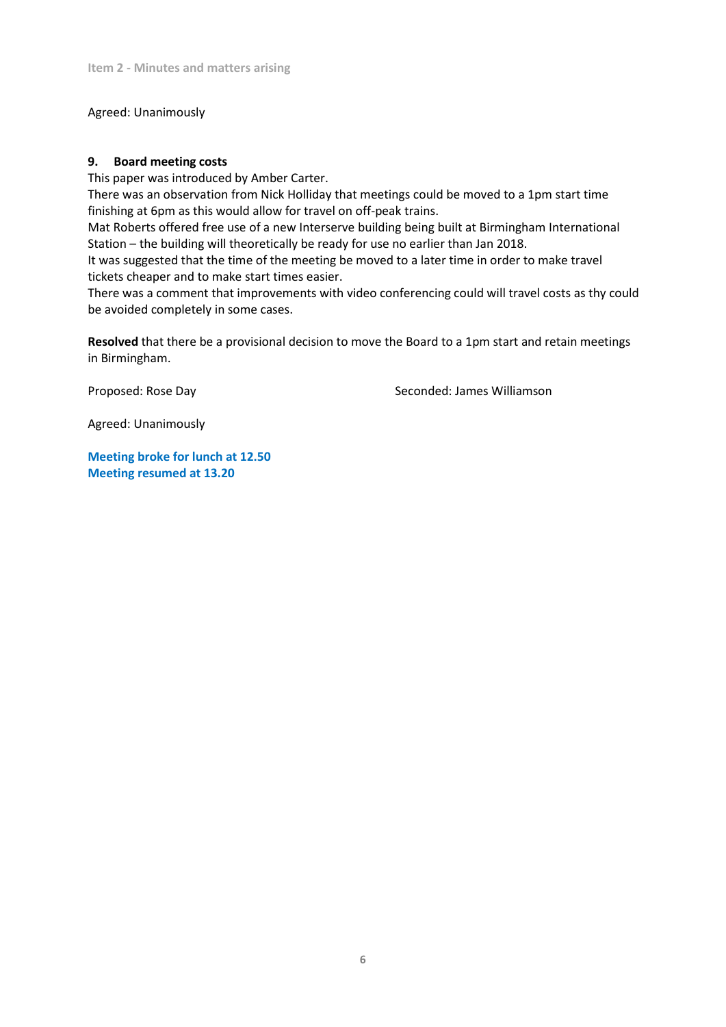Agreed: Unanimously

### **9. Board meeting costs**

This paper was introduced by Amber Carter.

There was an observation from Nick Holliday that meetings could be moved to a 1pm start time finishing at 6pm as this would allow for travel on off-peak trains.

Mat Roberts offered free use of a new Interserve building being built at Birmingham International Station – the building will theoretically be ready for use no earlier than Jan 2018.

It was suggested that the time of the meeting be moved to a later time in order to make travel tickets cheaper and to make start times easier.

There was a comment that improvements with video conferencing could will travel costs as thy could be avoided completely in some cases.

**Resolved** that there be a provisional decision to move the Board to a 1pm start and retain meetings in Birmingham.

Proposed: Rose Day Seconded: James Williamson

Agreed: Unanimously

**Meeting broke for lunch at 12.50 Meeting resumed at 13.20**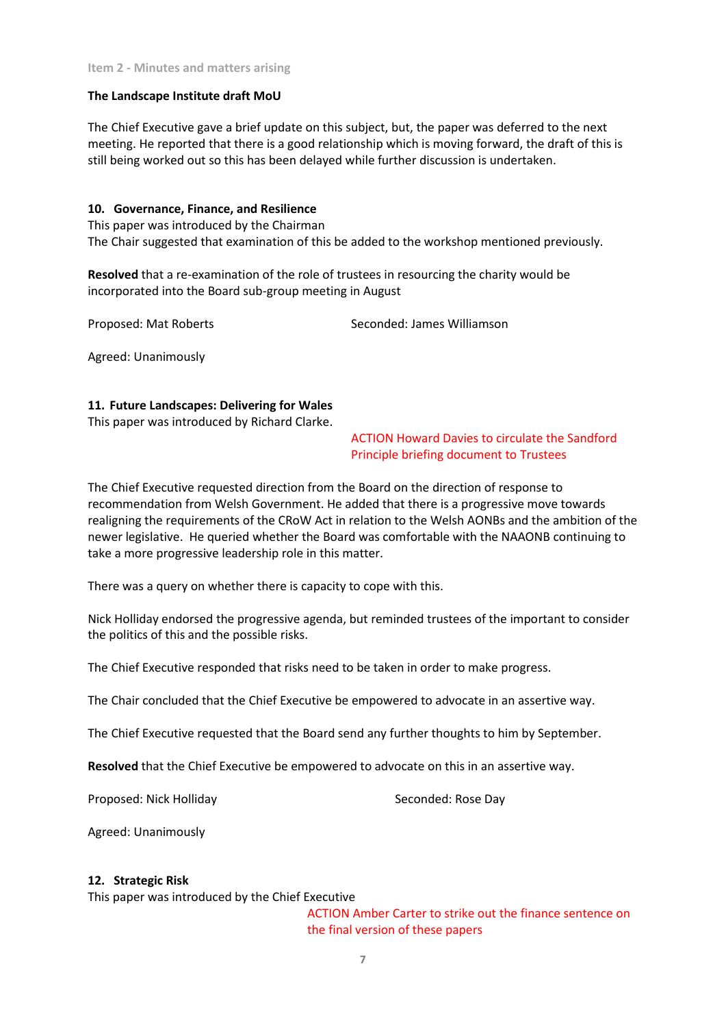### **The Landscape Institute draft MoU**

The Chief Executive gave a brief update on this subject, but, the paper was deferred to the next meeting. He reported that there is a good relationship which is moving forward, the draft of this is still being worked out so this has been delayed while further discussion is undertaken.

### **10. Governance, Finance, and Resilience**

This paper was introduced by the Chairman The Chair suggested that examination of this be added to the workshop mentioned previously.

**Resolved** that a re-examination of the role of trustees in resourcing the charity would be incorporated into the Board sub-group meeting in August

Proposed: Mat Roberts Seconded: James Williamson

Agreed: Unanimously

### **11. Future Landscapes: Delivering for Wales**

This paper was introduced by Richard Clarke.

ACTION Howard Davies to circulate the Sandford Principle briefing document to Trustees

The Chief Executive requested direction from the Board on the direction of response to recommendation from Welsh Government. He added that there is a progressive move towards realigning the requirements of the CRoW Act in relation to the Welsh AONBs and the ambition of the newer legislative. He queried whether the Board was comfortable with the NAAONB continuing to take a more progressive leadership role in this matter.

There was a query on whether there is capacity to cope with this.

Nick Holliday endorsed the progressive agenda, but reminded trustees of the important to consider the politics of this and the possible risks.

The Chief Executive responded that risks need to be taken in order to make progress.

The Chair concluded that the Chief Executive be empowered to advocate in an assertive way.

The Chief Executive requested that the Board send any further thoughts to him by September.

**Resolved** that the Chief Executive be empowered to advocate on this in an assertive way.

Proposed: Nick Holliday Seconded: Rose Day

Agreed: Unanimously

### **12. Strategic Risk**

This paper was introduced by the Chief Executive

ACTION Amber Carter to strike out the finance sentence on the final version of these papers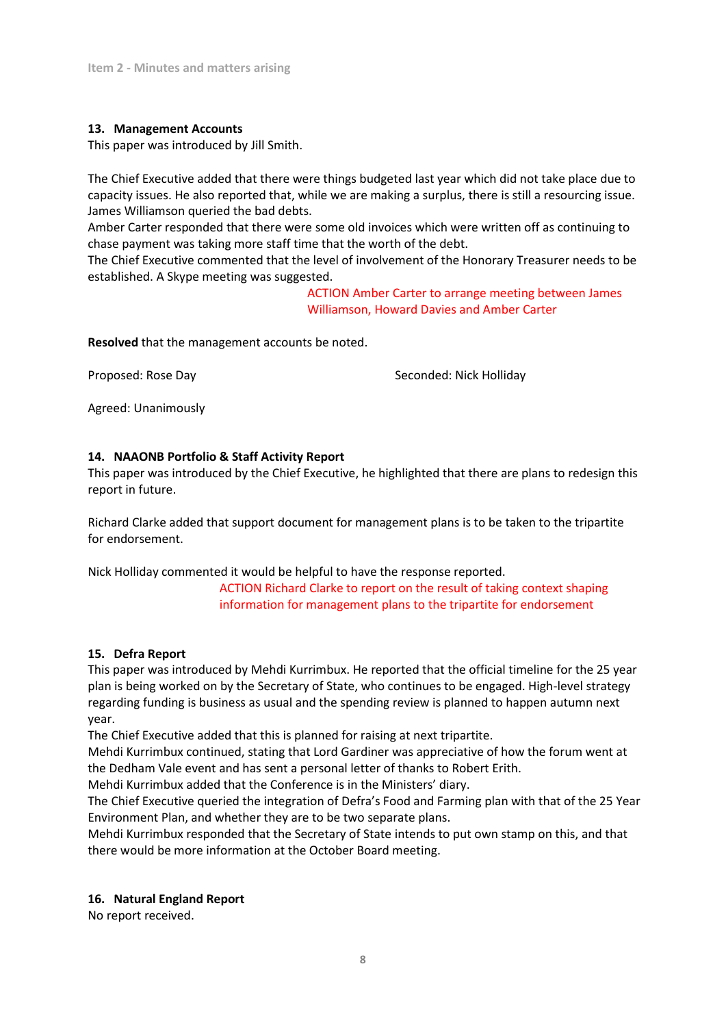### **13. Management Accounts**

This paper was introduced by Jill Smith.

The Chief Executive added that there were things budgeted last year which did not take place due to capacity issues. He also reported that, while we are making a surplus, there is still a resourcing issue. James Williamson queried the bad debts.

Amber Carter responded that there were some old invoices which were written off as continuing to chase payment was taking more staff time that the worth of the debt.

The Chief Executive commented that the level of involvement of the Honorary Treasurer needs to be established. A Skype meeting was suggested.

> ACTION Amber Carter to arrange meeting between James Williamson, Howard Davies and Amber Carter

**Resolved** that the management accounts be noted.

Proposed: Rose Day New York Seconded: Nick Holliday

Agreed: Unanimously

### **14. NAAONB Portfolio & Staff Activity Report**

This paper was introduced by the Chief Executive, he highlighted that there are plans to redesign this report in future.

Richard Clarke added that support document for management plans is to be taken to the tripartite for endorsement.

Nick Holliday commented it would be helpful to have the response reported.

ACTION Richard Clarke to report on the result of taking context shaping information for management plans to the tripartite for endorsement

### **15. Defra Report**

This paper was introduced by Mehdi Kurrimbux. He reported that the official timeline for the 25 year plan is being worked on by the Secretary of State, who continues to be engaged. High-level strategy regarding funding is business as usual and the spending review is planned to happen autumn next year.

The Chief Executive added that this is planned for raising at next tripartite.

Mehdi Kurrimbux continued, stating that Lord Gardiner was appreciative of how the forum went at the Dedham Vale event and has sent a personal letter of thanks to Robert Erith.

Mehdi Kurrimbux added that the Conference is in the Ministers' diary.

The Chief Executive queried the integration of Defra's Food and Farming plan with that of the 25 Year Environment Plan, and whether they are to be two separate plans.

Mehdi Kurrimbux responded that the Secretary of State intends to put own stamp on this, and that there would be more information at the October Board meeting.

### **16. Natural England Report**

No report received.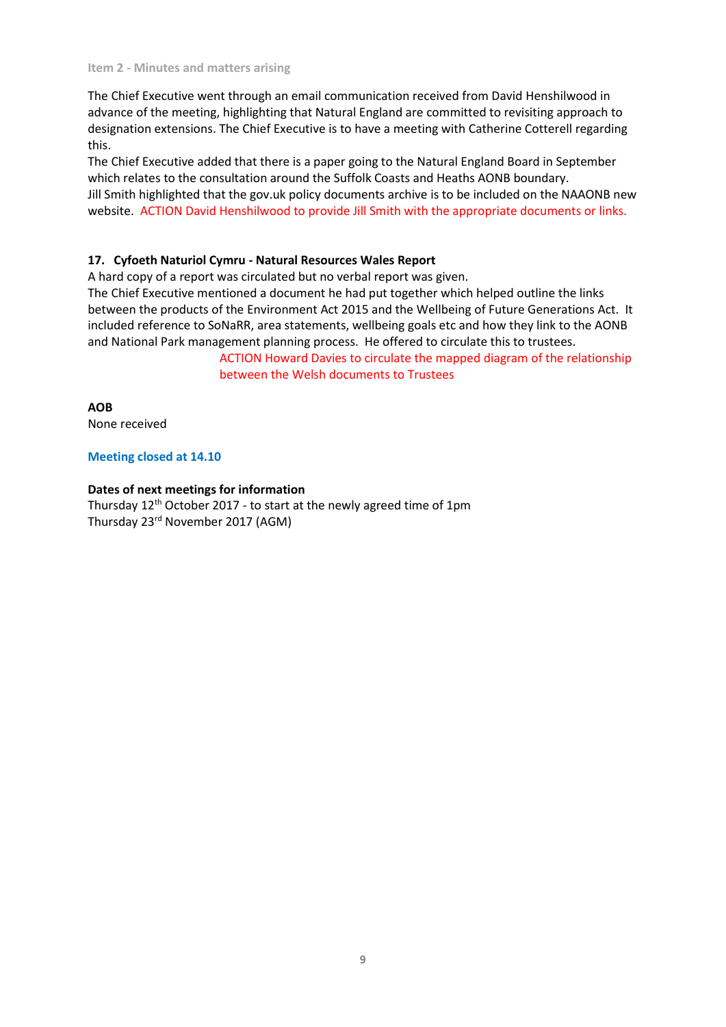The Chief Executive went through an email communication received from David Henshilwood in advance of the meeting, highlighting that Natural England are committed to revisiting approach to designation extensions. The Chief Executive is to have a meeting with Catherine Cotterell regarding this.

The Chief Executive added that there is a paper going to the Natural England Board in September which relates to the consultation around the Suffolk Coasts and Heaths AONB boundary. Jill Smith highlighted that the gov.uk policy documents archive is to be included on the NAAONB new website. ACTION David Henshilwood to provide Jill Smith with the appropriate documents or links.

### **17. Cyfoeth Naturiol Cymru - Natural Resources Wales Report**

A hard copy of a report was circulated but no verbal report was given.

The Chief Executive mentioned a document he had put together which helped outline the links between the products of the Environment Act 2015 and the Wellbeing of Future Generations Act. It included reference to SoNaRR, area statements, wellbeing goals etc and how they link to the AONB and National Park management planning process. He offered to circulate this to trustees.

> ACTION Howard Davies to circulate the mapped diagram of the relationship between the Welsh documents to Trustees

**AOB**

None received

#### **Meeting closed at 14.10**

#### **Dates of next meetings for information**

Thursday 12th October 2017 - to start at the newly agreed time of 1pm Thursday 23rd November 2017 (AGM)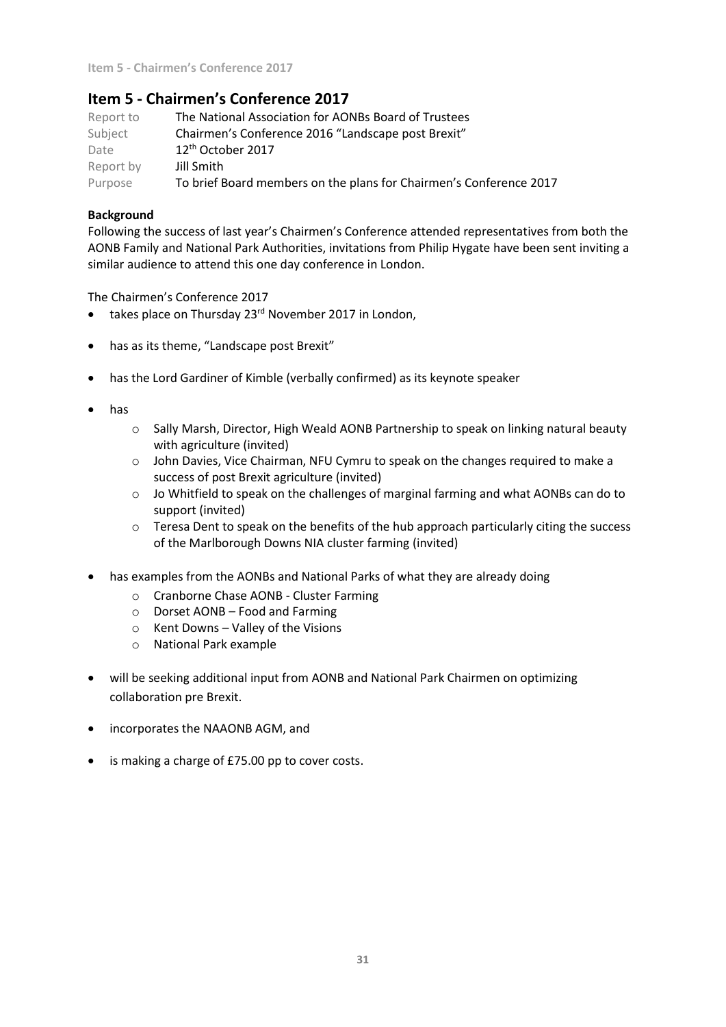# **Item 5 - Chairmen's Conference 2017**

| Report to | The National Association for AONBs Board of Trustees               |
|-----------|--------------------------------------------------------------------|
| Subject   | Chairmen's Conference 2016 "Landscape post Brexit"                 |
| Date      | $12th$ October 2017                                                |
| Report by | Jill Smith                                                         |
| Purpose   | To brief Board members on the plans for Chairmen's Conference 2017 |

### **Background**

Following the success of last year's Chairmen's Conference attended representatives from both the AONB Family and National Park Authorities, invitations from Philip Hygate have been sent inviting a similar audience to attend this one day conference in London.

The Chairmen's Conference 2017

- takes place on Thursday 23<sup>rd</sup> November 2017 in London,
- has as its theme, "Landscape post Brexit"
- has the Lord Gardiner of Kimble (verbally confirmed) as its keynote speaker
- has
	- o Sally Marsh, Director, High Weald AONB Partnership to speak on linking natural beauty with agriculture (invited)
	- $\circ$  John Davies, Vice Chairman, NFU Cymru to speak on the changes required to make a success of post Brexit agriculture (invited)
	- o Jo Whitfield to speak on the challenges of marginal farming and what AONBs can do to support (invited)
	- $\circ$  Teresa Dent to speak on the benefits of the hub approach particularly citing the success of the Marlborough Downs NIA cluster farming (invited)
- has examples from the AONBs and National Parks of what they are already doing
	- o Cranborne Chase AONB Cluster Farming
	- o Dorset AONB Food and Farming
	- o Kent Downs Valley of the Visions
	- o National Park example
- will be seeking additional input from AONB and National Park Chairmen on optimizing collaboration pre Brexit.
- incorporates the NAAONB AGM, and
- is making a charge of £75.00 pp to cover costs.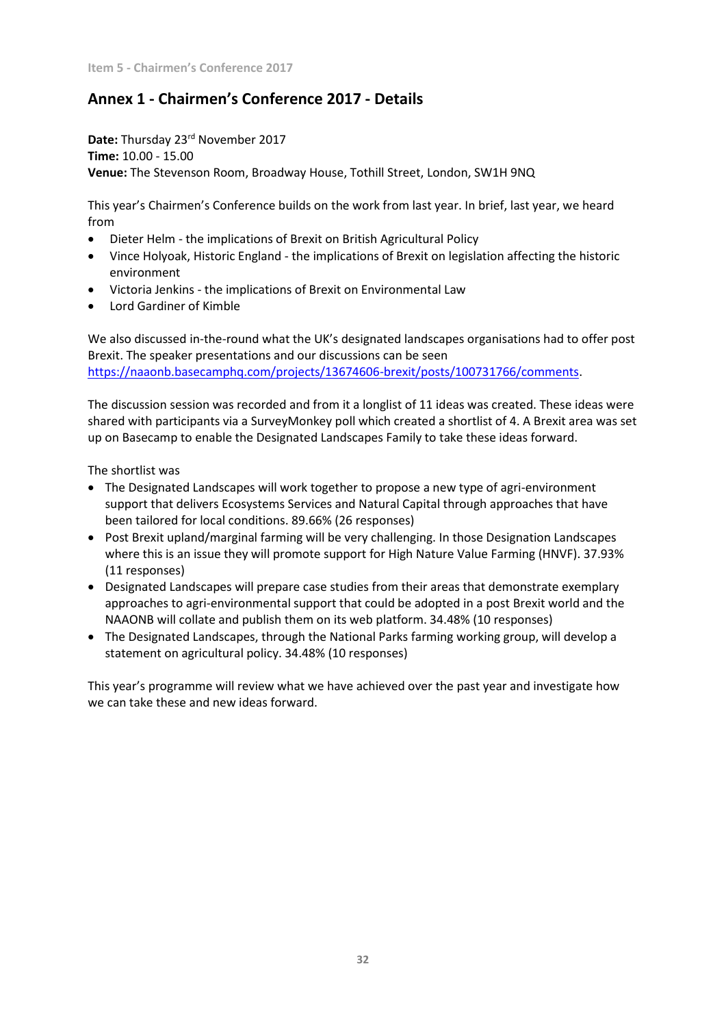# **Annex 1 - Chairmen's Conference 2017 - Details**

Date: Thursday 23<sup>rd</sup> November 2017 **Time:** 10.00 - 15.00 **Venue:** The Stevenson Room, Broadway House, Tothill Street, London, SW1H 9NQ

This year's Chairmen's Conference builds on the work from last year. In brief, last year, we heard from

- Dieter Helm the implications of Brexit on British Agricultural Policy
- Vince Holyoak, Historic England the implications of Brexit on legislation affecting the historic environment
- Victoria Jenkins the implications of Brexit on Environmental Law
- Lord Gardiner of Kimble

We also discussed in-the-round what the UK's designated landscapes organisations had to offer post Brexit. The speaker presentations and our discussions can be seen [https://naaonb.basecamphq.com/projects/13674606-brexit/posts/100731766/comments.](https://naaonb.basecamphq.com/projects/13674606-brexit/posts/100731766/comments)

The discussion session was recorded and from it a longlist of 11 ideas was created. These ideas were shared with participants via a SurveyMonkey poll which created a shortlist of 4. A Brexit area was set up on Basecamp to enable the Designated Landscapes Family to take these ideas forward.

The shortlist was

- The Designated Landscapes will work together to propose a new type of agri-environment support that delivers Ecosystems Services and Natural Capital through approaches that have been tailored for local conditions. 89.66% (26 responses)
- Post Brexit upland/marginal farming will be very challenging. In those Designation Landscapes where this is an issue they will promote support for High Nature Value Farming (HNVF). 37.93% (11 responses)
- Designated Landscapes will prepare case studies from their areas that demonstrate exemplary approaches to agri-environmental support that could be adopted in a post Brexit world and the NAAONB will collate and publish them on its web platform. 34.48% (10 responses)
- The Designated Landscapes, through the National Parks farming working group, will develop a statement on agricultural policy. 34.48% (10 responses)

This year's programme will review what we have achieved over the past year and investigate how we can take these and new ideas forward.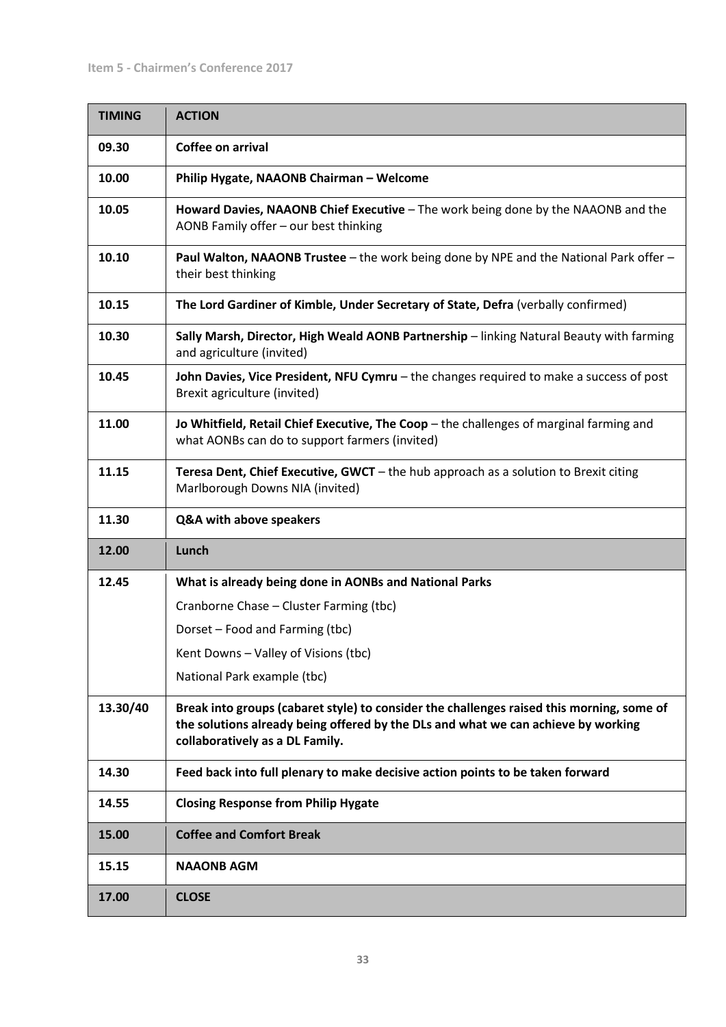| <b>TIMING</b> | <b>ACTION</b>                                                                                                                                                                                                     |
|---------------|-------------------------------------------------------------------------------------------------------------------------------------------------------------------------------------------------------------------|
| 09.30         | Coffee on arrival                                                                                                                                                                                                 |
| 10.00         | Philip Hygate, NAAONB Chairman - Welcome                                                                                                                                                                          |
| 10.05         | Howard Davies, NAAONB Chief Executive - The work being done by the NAAONB and the<br>AONB Family offer - our best thinking                                                                                        |
| 10.10         | <b>Paul Walton, NAAONB Trustee</b> - the work being done by NPE and the National Park offer -<br>their best thinking                                                                                              |
| 10.15         | The Lord Gardiner of Kimble, Under Secretary of State, Defra (verbally confirmed)                                                                                                                                 |
| 10.30         | Sally Marsh, Director, High Weald AONB Partnership - linking Natural Beauty with farming<br>and agriculture (invited)                                                                                             |
| 10.45         | John Davies, Vice President, NFU Cymru - the changes required to make a success of post<br>Brexit agriculture (invited)                                                                                           |
| 11.00         | Jo Whitfield, Retail Chief Executive, The Coop - the challenges of marginal farming and<br>what AONBs can do to support farmers (invited)                                                                         |
| 11.15         | Teresa Dent, Chief Executive, GWCT - the hub approach as a solution to Brexit citing<br>Marlborough Downs NIA (invited)                                                                                           |
|               |                                                                                                                                                                                                                   |
| 11.30         | Q&A with above speakers                                                                                                                                                                                           |
| 12.00         | Lunch                                                                                                                                                                                                             |
| 12.45         | What is already being done in AONBs and National Parks                                                                                                                                                            |
|               | Cranborne Chase - Cluster Farming (tbc)                                                                                                                                                                           |
|               | Dorset - Food and Farming (tbc)                                                                                                                                                                                   |
|               | Kent Downs - Valley of Visions (tbc)                                                                                                                                                                              |
|               | National Park example (tbc)                                                                                                                                                                                       |
| 13.30/40      | Break into groups (cabaret style) to consider the challenges raised this morning, some of<br>the solutions already being offered by the DLs and what we can achieve by working<br>collaboratively as a DL Family. |
| 14.30         | Feed back into full plenary to make decisive action points to be taken forward                                                                                                                                    |
| 14.55         | <b>Closing Response from Philip Hygate</b>                                                                                                                                                                        |
| 15.00         | <b>Coffee and Comfort Break</b>                                                                                                                                                                                   |
| 15.15         | <b>NAAONB AGM</b>                                                                                                                                                                                                 |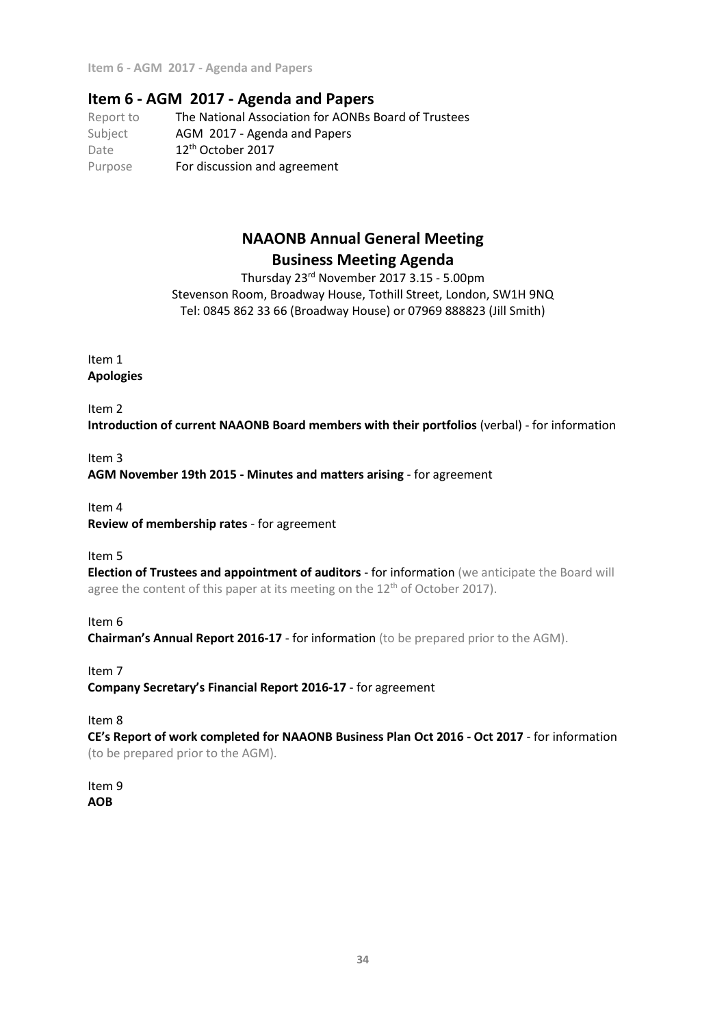**Item 6 - AGM 2017 - Agenda and Papers**

# **Item 6 - AGM 2017 - Agenda and Papers**

Report to The National Association for AONBs Board of Trustees Subject **AGM 2017 - Agenda and Papers** Date 12<sup>th</sup> October 2017 Purpose For discussion and agreement

# **NAAONB Annual General Meeting Business Meeting Agenda**

Thursday 23 rd November 2017 3.15 - 5.00pm Stevenson Room, Broadway House, Tothill Street, London, SW1H 9NQ Tel: 0845 862 33 66 (Broadway House) or 07969 888823 (Jill Smith)

Item 1 **Apologies**

Item 2

**Introduction of current NAAONB Board members with their portfolios** (verbal) - for information

# Item 3 **AGM November 19th 2015 - Minutes and matters arising** - for agreement

Item 4

**Review of membership rates** - for agreement

Item 5

**Election of Trustees and appointment of auditors** - for information (we anticipate the Board will agree the content of this paper at its meeting on the 12<sup>th</sup> of October 2017).

Item 6

**Chairman's Annual Report 2016-17** - for information (to be prepared prior to the AGM).

Item 7

**Company Secretary's Financial Report 2016-17** - for agreement

Item 8

**CE's Report of work completed for NAAONB Business Plan Oct 2016 - Oct 2017** - for information (to be prepared prior to the AGM).

Item 9 **AOB**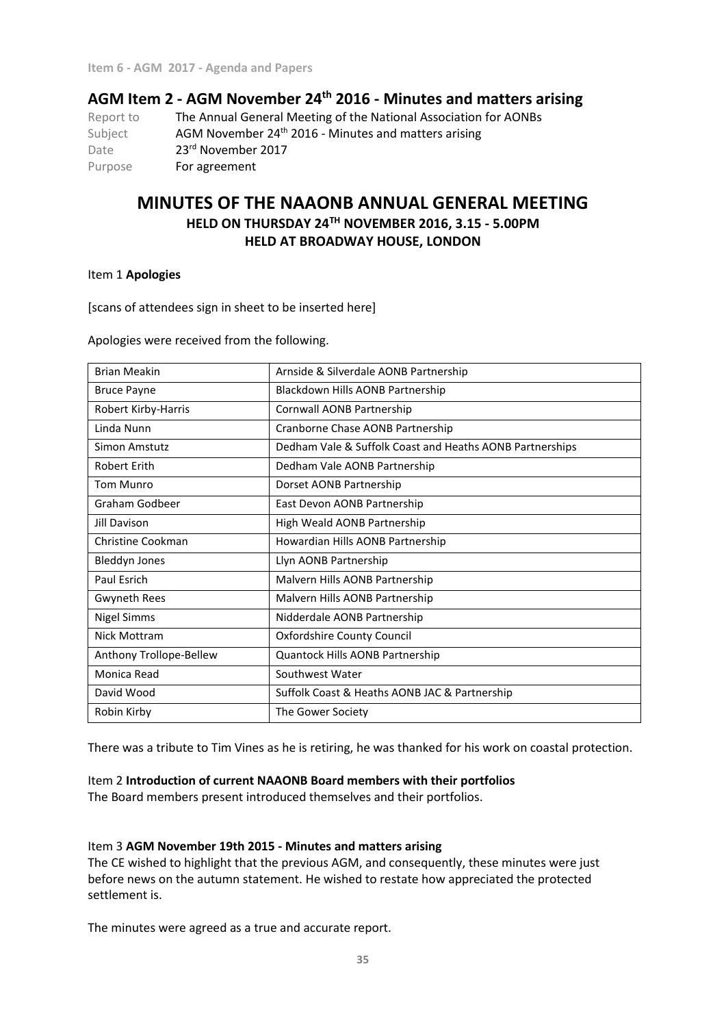# **AGM Item 2 - AGM November 24th 2016 - Minutes and matters arising**

Report to The Annual General Meeting of the National Association for AONBs Subject **AGM November 24<sup>th</sup> 2016 - Minutes and matters arising** Date 23<sup>rd</sup> November 2017 Purpose For agreement

# **MINUTES OF THE NAAONB ANNUAL GENERAL MEETING HELD ON THURSDAY 24TH NOVEMBER 2016, 3.15 - 5.00PM HELD AT BROADWAY HOUSE, LONDON**

Item 1 **Apologies**

[scans of attendees sign in sheet to be inserted here]

Apologies were received from the following.

| <b>Brian Meakin</b>     | Arnside & Silverdale AONB Partnership                    |
|-------------------------|----------------------------------------------------------|
| <b>Bruce Payne</b>      | Blackdown Hills AONB Partnership                         |
| Robert Kirby-Harris     | Cornwall AONB Partnership                                |
| Linda Nunn              | Cranborne Chase AONB Partnership                         |
| Simon Amstutz           | Dedham Vale & Suffolk Coast and Heaths AONB Partnerships |
| Robert Erith            | Dedham Vale AONB Partnership                             |
| <b>Tom Munro</b>        | Dorset AONB Partnership                                  |
| Graham Godbeer          | East Devon AONB Partnership                              |
| <b>Jill Davison</b>     | High Weald AONB Partnership                              |
| Christine Cookman       | Howardian Hills AONB Partnership                         |
| <b>Bleddyn Jones</b>    | Llyn AONB Partnership                                    |
| Paul Esrich             | Malvern Hills AONB Partnership                           |
| <b>Gwyneth Rees</b>     | Malvern Hills AONB Partnership                           |
| <b>Nigel Simms</b>      | Nidderdale AONB Partnership                              |
| Nick Mottram            | <b>Oxfordshire County Council</b>                        |
| Anthony Trollope-Bellew | Quantock Hills AONB Partnership                          |
| Monica Read             | Southwest Water                                          |
| David Wood              | Suffolk Coast & Heaths AONB JAC & Partnership            |
| Robin Kirby             | The Gower Society                                        |

There was a tribute to Tim Vines as he is retiring, he was thanked for his work on coastal protection.

### Item 2 **Introduction of current NAAONB Board members with their portfolios**

The Board members present introduced themselves and their portfolios.

### Item 3 **AGM November 19th 2015 - Minutes and matters arising**

The CE wished to highlight that the previous AGM, and consequently, these minutes were just before news on the autumn statement. He wished to restate how appreciated the protected settlement is.

The minutes were agreed as a true and accurate report.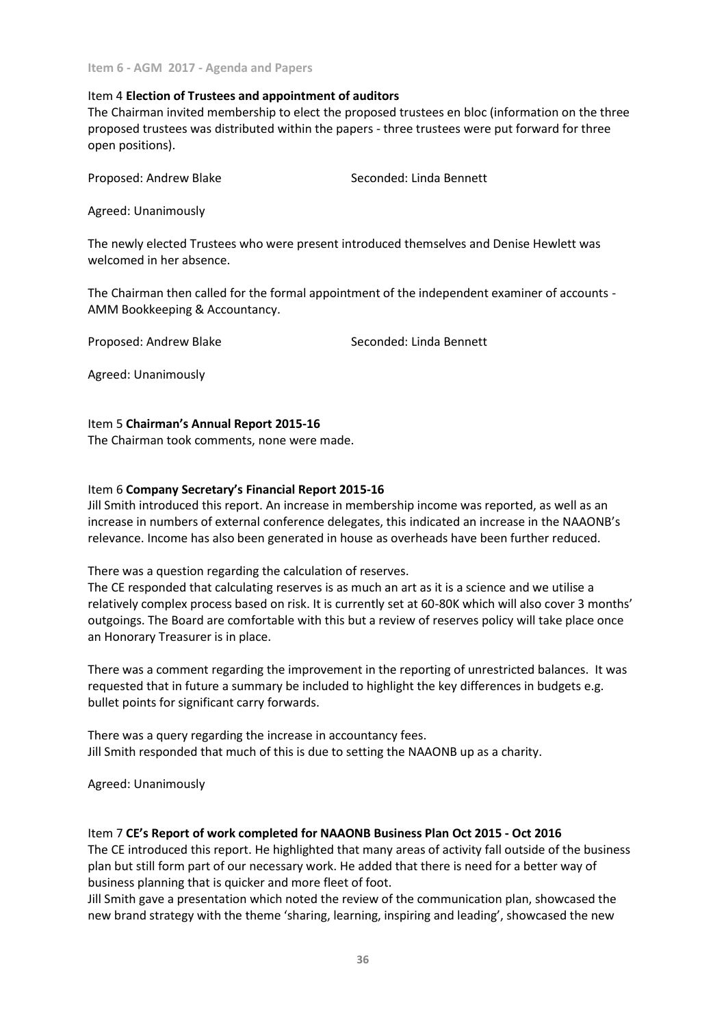### Item 4 **Election of Trustees and appointment of auditors**

The Chairman invited membership to elect the proposed trustees en bloc (information on the three proposed trustees was distributed within the papers - three trustees were put forward for three open positions).

Proposed: Andrew Blake Seconded: Linda Bennett

Agreed: Unanimously

The newly elected Trustees who were present introduced themselves and Denise Hewlett was welcomed in her absence.

The Chairman then called for the formal appointment of the independent examiner of accounts - AMM Bookkeeping & Accountancy.

Proposed: Andrew Blake Seconded: Linda Bennett

Agreed: Unanimously

### Item 5 **Chairman's Annual Report 2015-16**

The Chairman took comments, none were made.

### Item 6 **Company Secretary's Financial Report 2015-16**

Jill Smith introduced this report. An increase in membership income was reported, as well as an increase in numbers of external conference delegates, this indicated an increase in the NAAONB's relevance. Income has also been generated in house as overheads have been further reduced.

There was a question regarding the calculation of reserves.

The CE responded that calculating reserves is as much an art as it is a science and we utilise a relatively complex process based on risk. It is currently set at 60-80K which will also cover 3 months' outgoings. The Board are comfortable with this but a review of reserves policy will take place once an Honorary Treasurer is in place.

There was a comment regarding the improvement in the reporting of unrestricted balances. It was requested that in future a summary be included to highlight the key differences in budgets e.g. bullet points for significant carry forwards.

There was a query regarding the increase in accountancy fees. Jill Smith responded that much of this is due to setting the NAAONB up as a charity.

Agreed: Unanimously

### Item 7 **CE's Report of work completed for NAAONB Business Plan Oct 2015 - Oct 2016**

The CE introduced this report. He highlighted that many areas of activity fall outside of the business plan but still form part of our necessary work. He added that there is need for a better way of business planning that is quicker and more fleet of foot.

Jill Smith gave a presentation which noted the review of the communication plan, showcased the new brand strategy with the theme 'sharing, learning, inspiring and leading', showcased the new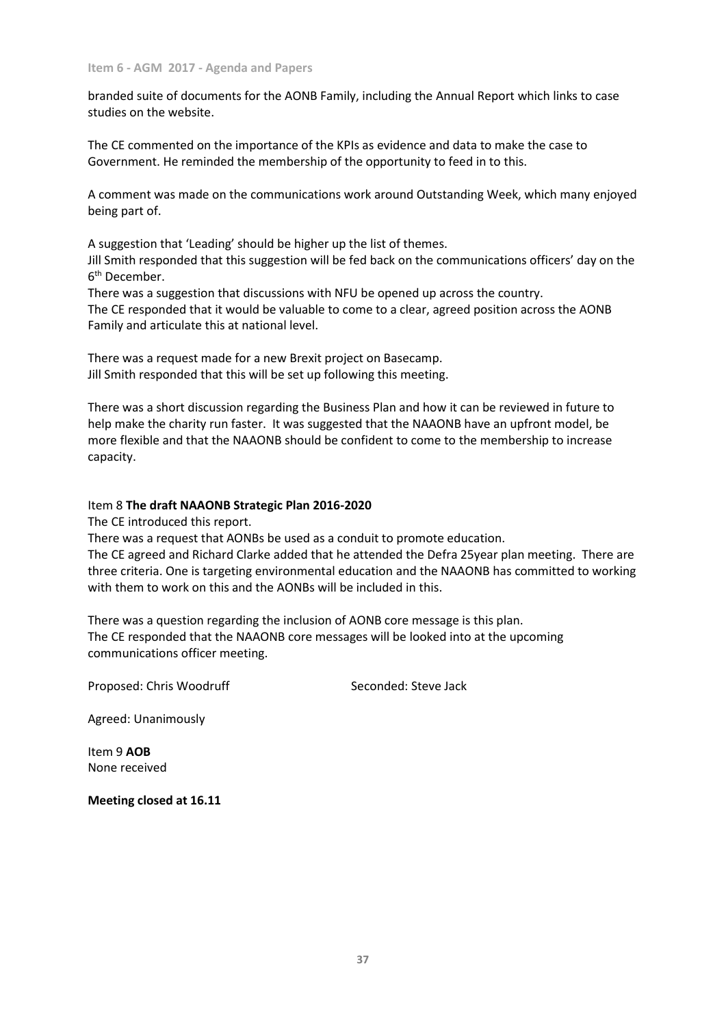branded suite of documents for the AONB Family, including the Annual Report which links to case studies on the website.

The CE commented on the importance of the KPIs as evidence and data to make the case to Government. He reminded the membership of the opportunity to feed in to this.

A comment was made on the communications work around Outstanding Week, which many enjoyed being part of.

A suggestion that 'Leading' should be higher up the list of themes.

Jill Smith responded that this suggestion will be fed back on the communications officers' day on the 6 th December.

There was a suggestion that discussions with NFU be opened up across the country. The CE responded that it would be valuable to come to a clear, agreed position across the AONB Family and articulate this at national level.

There was a request made for a new Brexit project on Basecamp. Jill Smith responded that this will be set up following this meeting.

There was a short discussion regarding the Business Plan and how it can be reviewed in future to help make the charity run faster. It was suggested that the NAAONB have an upfront model, be more flexible and that the NAAONB should be confident to come to the membership to increase capacity.

### Item 8 **The draft NAAONB Strategic Plan 2016-2020**

The CE introduced this report.

There was a request that AONBs be used as a conduit to promote education.

The CE agreed and Richard Clarke added that he attended the Defra 25year plan meeting. There are three criteria. One is targeting environmental education and the NAAONB has committed to working with them to work on this and the AONBs will be included in this.

There was a question regarding the inclusion of AONB core message is this plan. The CE responded that the NAAONB core messages will be looked into at the upcoming communications officer meeting.

Proposed: Chris Woodruff Seconded: Steve Jack

Agreed: Unanimously

Item 9 **AOB** None received

**Meeting closed at 16.11**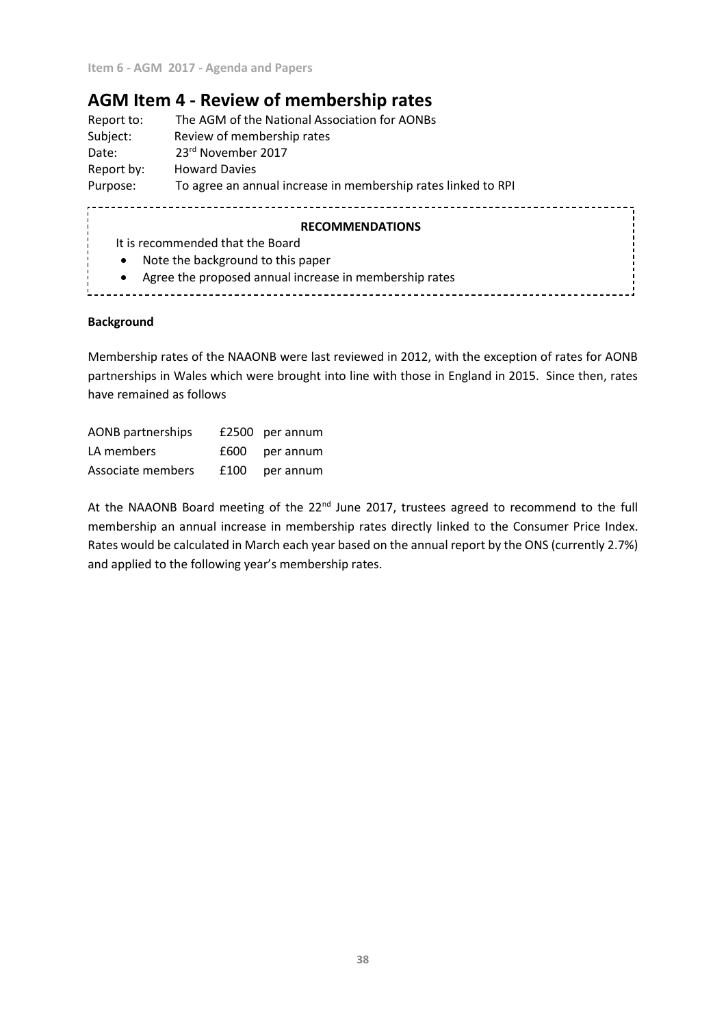# **AGM Item 4 - Review of membership rates**

| The AGM of the National Association for AONBs<br>Report to: |                                                               |  |  |  |  |
|-------------------------------------------------------------|---------------------------------------------------------------|--|--|--|--|
| Subject:                                                    | Review of membership rates                                    |  |  |  |  |
| Date:                                                       | 23rd November 2017                                            |  |  |  |  |
| Report by:                                                  | <b>Howard Davies</b>                                          |  |  |  |  |
| Purpose:                                                    | To agree an annual increase in membership rates linked to RPI |  |  |  |  |
|                                                             | <b>RECOMMENDATIONS</b>                                        |  |  |  |  |
|                                                             | It is recommended that the Board                              |  |  |  |  |
| $\bullet$                                                   | Note the background to this paper                             |  |  |  |  |

Agree the proposed annual increase in membership rates

### **Background**

Membership rates of the NAAONB were last reviewed in 2012, with the exception of rates for AONB partnerships in Wales which were brought into line with those in England in 2015. Since then, rates have remained as follows

| <b>AONB</b> partnerships | £2500 per annum  |
|--------------------------|------------------|
| LA members               | £600 per annum   |
| Associate members        | $£100$ per annum |

At the NAAONB Board meeting of the 22<sup>nd</sup> June 2017, trustees agreed to recommend to the full membership an annual increase in membership rates directly linked to the Consumer Price Index. Rates would be calculated in March each year based on the annual report by the ONS (currently 2.7%) and applied to the following year's membership rates.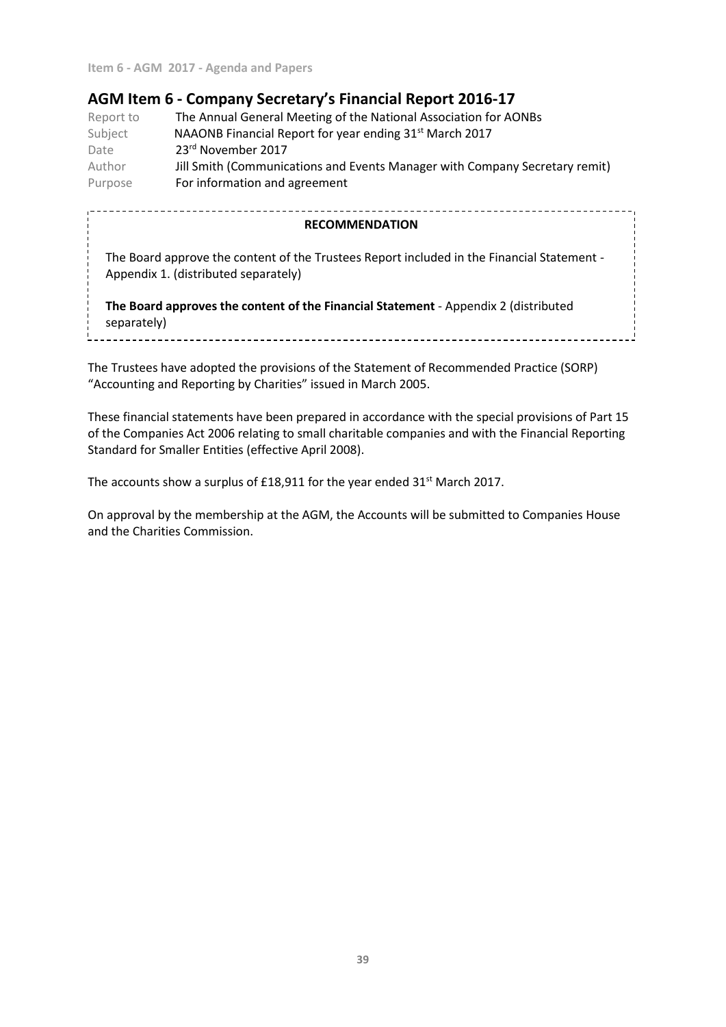# **AGM Item 6 - Company Secretary's Financial Report 2016-17**

Report to The Annual General Meeting of the National Association for AONBs Subject **NAAONB Financial Report for year ending 31st March 2017** Date 23<sup>rd</sup> November 2017 Author **Jill Smith (Communications and Events Manager with Company Secretary remit)** Purpose **For information and agreement** 

| <b>RECOMMENDATION</b>                                                                                                              |  |
|------------------------------------------------------------------------------------------------------------------------------------|--|
| The Board approve the content of the Trustees Report included in the Financial Statement -<br>Appendix 1. (distributed separately) |  |
| The Board approves the content of the Financial Statement - Appendix 2 (distributed<br>separately)                                 |  |

The Trustees have adopted the provisions of the Statement of Recommended Practice (SORP) "Accounting and Reporting by Charities" issued in March 2005.

These financial statements have been prepared in accordance with the special provisions of Part 15 of the Companies Act 2006 relating to small charitable companies and with the Financial Reporting Standard for Smaller Entities (effective April 2008).

The accounts show a surplus of £18,911 for the year ended  $31<sup>st</sup>$  March 2017.

On approval by the membership at the AGM, the Accounts will be submitted to Companies House and the Charities Commission.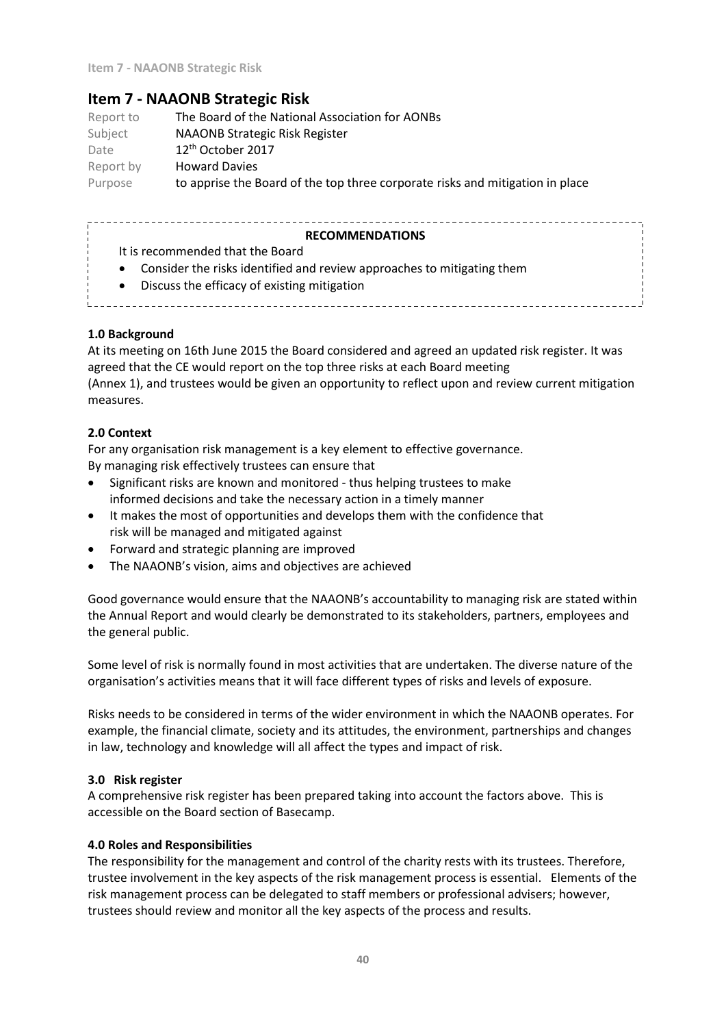# **Item 7 - NAAONB Strategic Risk**

Report to The Board of the National Association for AONBs Subject NAAONB Strategic Risk Register Date 12th October 2017 Report by Howard Davies Purpose to apprise the Board of the top three corporate risks and mitigation in place

#### **RECOMMENDATIONS**

- It is recommended that the Board
- Consider the risks identified and review approaches to mitigating them
- Discuss the efficacy of existing mitigation
- 

### **1.0 Background**

At its meeting on 16th June 2015 the Board considered and agreed an updated risk register. It was agreed that the CE would report on the top three risks at each Board meeting (Annex 1), and trustees would be given an opportunity to reflect upon and review current mitigation measures.

### **2.0 Context**

For any organisation risk management is a key element to effective governance. By managing risk effectively trustees can ensure that

- Significant risks are known and monitored thus helping trustees to make informed decisions and take the necessary action in a timely manner
- It makes the most of opportunities and develops them with the confidence that risk will be managed and mitigated against
- Forward and strategic planning are improved
- The NAAONB's vision, aims and objectives are achieved

Good governance would ensure that the NAAONB's accountability to managing risk are stated within the Annual Report and would clearly be demonstrated to its stakeholders, partners, employees and the general public.

Some level of risk is normally found in most activities that are undertaken. The diverse nature of the organisation's activities means that it will face different types of risks and levels of exposure.

Risks needs to be considered in terms of the wider environment in which the NAAONB operates. For example, the financial climate, society and its attitudes, the environment, partnerships and changes in law, technology and knowledge will all affect the types and impact of risk.

### **3.0 Risk register**

A comprehensive risk register has been prepared taking into account the factors above. This is accessible on the Board section of Basecamp.

### **4.0 Roles and Responsibilities**

The responsibility for the management and control of the charity rests with its trustees. Therefore, trustee involvement in the key aspects of the risk management process is essential. Elements of the risk management process can be delegated to staff members or professional advisers; however, trustees should review and monitor all the key aspects of the process and results.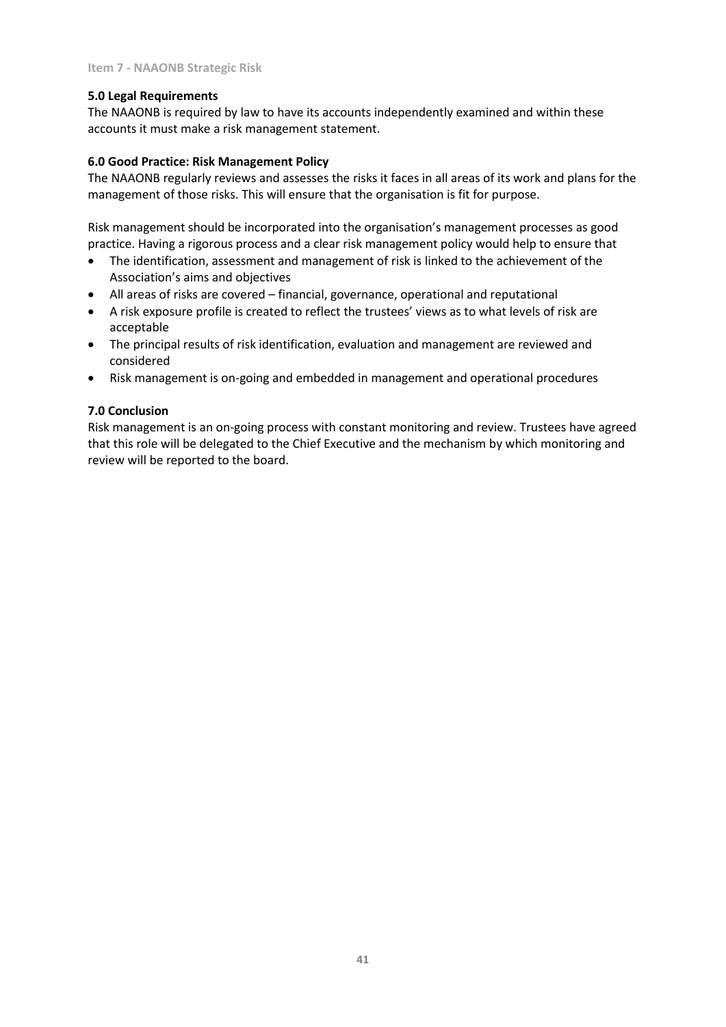### **5.0 Legal Requirements**

The NAAONB is required by law to have its accounts independently examined and within these accounts it must make a risk management statement.

### **6.0 Good Practice: Risk Management Policy**

The NAAONB regularly reviews and assesses the risks it faces in all areas of its work and plans for the management of those risks. This will ensure that the organisation is fit for purpose.

Risk management should be incorporated into the organisation's management processes as good practice. Having a rigorous process and a clear risk management policy would help to ensure that

- The identification, assessment and management of risk is linked to the achievement of the Association's aims and objectives
- All areas of risks are covered financial, governance, operational and reputational
- A risk exposure profile is created to reflect the trustees' views as to what levels of risk are acceptable
- The principal results of risk identification, evaluation and management are reviewed and considered
- Risk management is on-going and embedded in management and operational procedures

### **7.0 Conclusion**

Risk management is an on-going process with constant monitoring and review. Trustees have agreed that this role will be delegated to the Chief Executive and the mechanism by which monitoring and review will be reported to the board.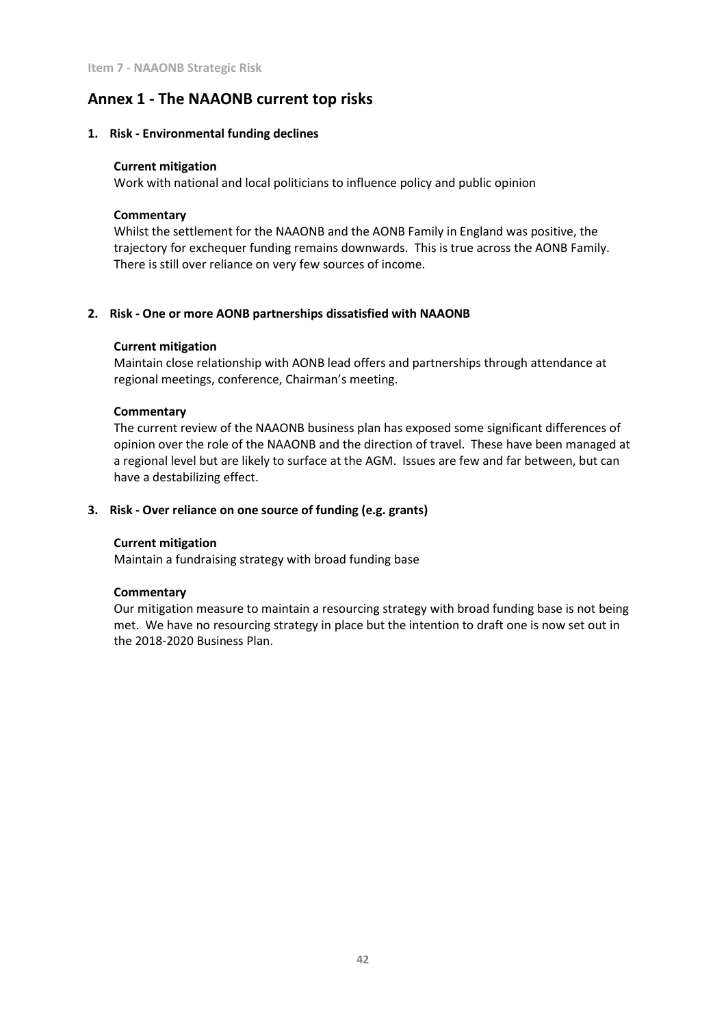# **Annex 1 - The NAAONB current top risks**

#### **1. Risk - Environmental funding declines**

#### **Current mitigation**

Work with national and local politicians to influence policy and public opinion

### **Commentary**

Whilst the settlement for the NAAONB and the AONB Family in England was positive, the trajectory for exchequer funding remains downwards. This is true across the AONB Family. There is still over reliance on very few sources of income.

### **2. Risk - One or more AONB partnerships dissatisfied with NAAONB**

### **Current mitigation**

Maintain close relationship with AONB lead offers and partnerships through attendance at regional meetings, conference, Chairman's meeting.

#### **Commentary**

The current review of the NAAONB business plan has exposed some significant differences of opinion over the role of the NAAONB and the direction of travel. These have been managed at a regional level but are likely to surface at the AGM. Issues are few and far between, but can have a destabilizing effect.

### **3. Risk - Over reliance on one source of funding (e.g. grants)**

#### **Current mitigation**

Maintain a fundraising strategy with broad funding base

#### **Commentary**

Our mitigation measure to maintain a resourcing strategy with broad funding base is not being met. We have no resourcing strategy in place but the intention to draft one is now set out in the 2018-2020 Business Plan.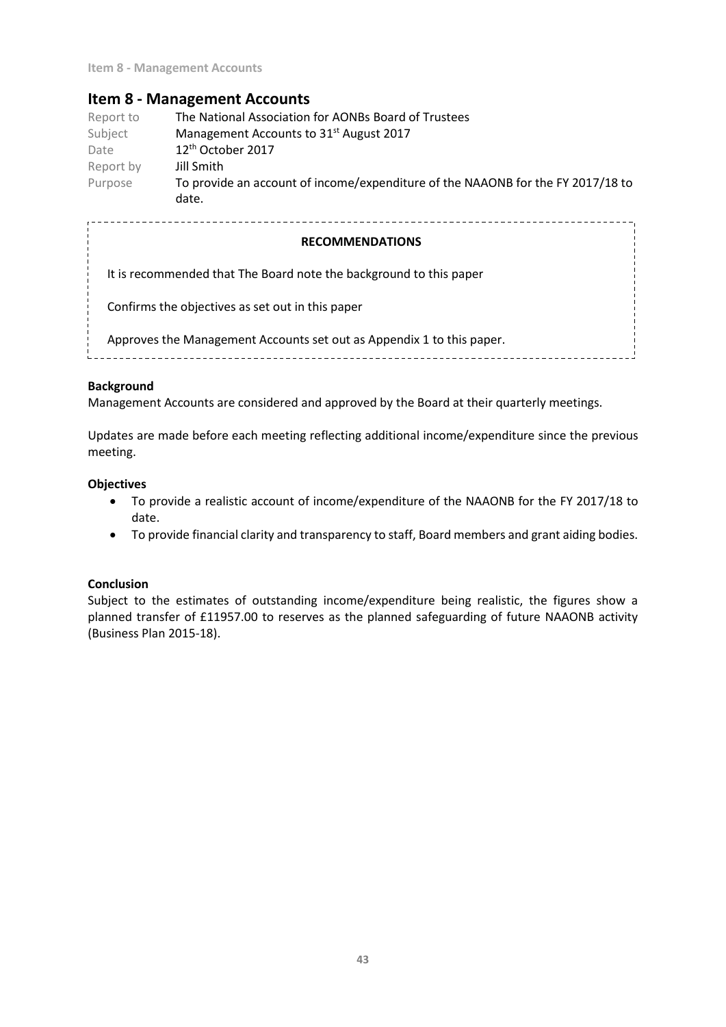# **Item 8 - Management Accounts**

| Report to | The National Association for AONBs Board of Trustees                            |
|-----------|---------------------------------------------------------------------------------|
| Subject   | Management Accounts to 31 <sup>st</sup> August 2017                             |
| Date      | 12 <sup>th</sup> October 2017                                                   |
| Report by | Jill Smith                                                                      |
| Purpose   | To provide an account of income/expenditure of the NAAONB for the FY 2017/18 to |
|           | date.                                                                           |

### **RECOMMENDATIONS**

It is recommended that The Board note the background to this paper

Confirms the objectives as set out in this paper

Approves the Management Accounts set out as Appendix 1 to this paper.

### **Background**

Management Accounts are considered and approved by the Board at their quarterly meetings.

Updates are made before each meeting reflecting additional income/expenditure since the previous meeting.

### **Objectives**

- To provide a realistic account of income/expenditure of the NAAONB for the FY 2017/18 to date.
- To provide financial clarity and transparency to staff, Board members and grant aiding bodies.

### **Conclusion**

Subject to the estimates of outstanding income/expenditure being realistic, the figures show a planned transfer of £11957.00 to reserves as the planned safeguarding of future NAAONB activity (Business Plan 2015-18).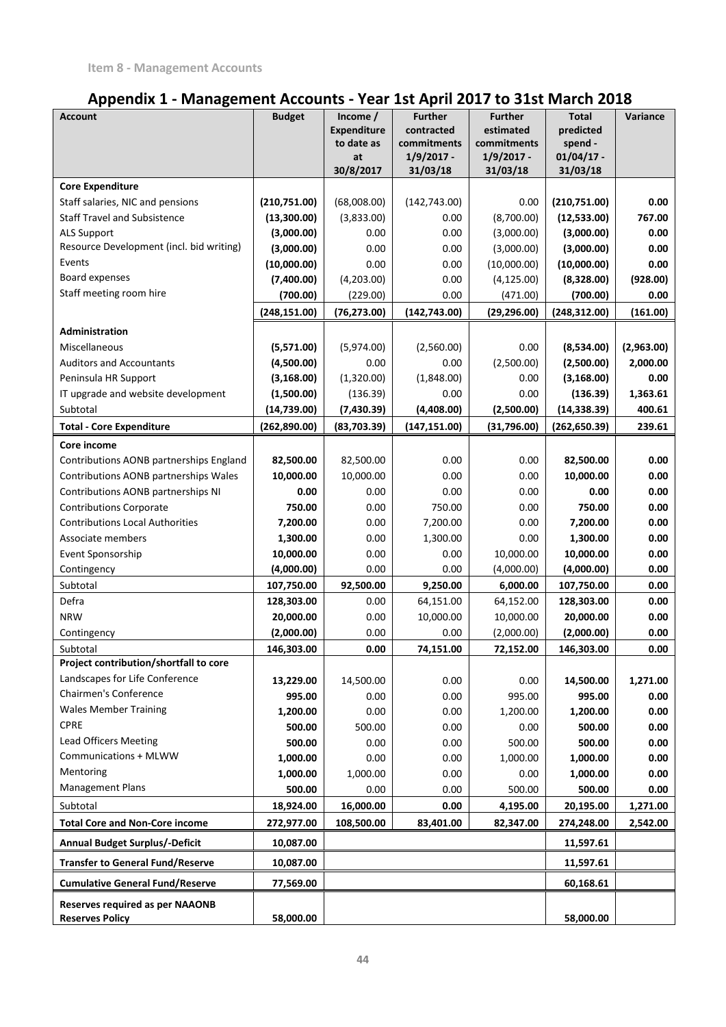# **Appendix 1 - Management Accounts - Year 1st April 2017 to 31st March 2018**

| <b>Account</b>                                     | <b>Budget</b>      | Income /                         | <b>Further</b>            | <b>Further</b>           | <b>Total</b>         | Variance         |
|----------------------------------------------------|--------------------|----------------------------------|---------------------------|--------------------------|----------------------|------------------|
|                                                    |                    | <b>Expenditure</b><br>to date as | contracted<br>commitments | estimated<br>commitments | predicted<br>spend - |                  |
|                                                    |                    | at                               | $1/9/2017 -$              | $1/9/2017 -$             | $01/04/17$ -         |                  |
|                                                    |                    | 30/8/2017                        | 31/03/18                  | 31/03/18                 | 31/03/18             |                  |
| <b>Core Expenditure</b>                            |                    |                                  |                           |                          |                      |                  |
| Staff salaries, NIC and pensions                   | (210,751.00)       | (68,008.00)                      | (142, 743.00)             | 0.00                     | (210, 751.00)        | 0.00             |
| <b>Staff Travel and Subsistence</b>                | (13,300.00)        | (3,833.00)                       | 0.00                      | (8,700.00)               | (12,533.00)          | 767.00           |
| <b>ALS Support</b>                                 | (3,000.00)         | 0.00                             | 0.00                      | (3,000.00)               | (3,000.00)           | 0.00             |
| Resource Development (incl. bid writing)           | (3,000.00)         | 0.00                             | 0.00                      | (3,000.00)               | (3,000.00)           | 0.00             |
| Events                                             | (10,000.00)        | 0.00                             | 0.00                      | (10,000.00)              | (10,000.00)          | 0.00             |
| Board expenses<br>Staff meeting room hire          | (7,400.00)         | (4,203.00)                       | 0.00                      | (4, 125.00)              | (8,328.00)           | (928.00)         |
|                                                    | (700.00)           | (229.00)                         | 0.00                      | (471.00)                 | (700.00)             | 0.00             |
|                                                    | (248, 151.00)      | (76, 273.00)                     | (142, 743.00)             | (29, 296.00)             | (248, 312.00)        | (161.00)         |
| Administration                                     |                    |                                  |                           |                          |                      |                  |
| <b>Miscellaneous</b>                               | (5,571.00)         | (5,974.00)                       | (2,560.00)                | 0.00                     | (8,534.00)           | (2,963.00)       |
| <b>Auditors and Accountants</b>                    | (4,500.00)         | 0.00                             | 0.00                      | (2,500.00)               | (2,500.00)           | 2,000.00         |
| Peninsula HR Support                               | (3, 168.00)        | (1,320.00)                       | (1,848.00)                | 0.00                     | (3, 168.00)          | 0.00             |
| IT upgrade and website development                 | (1,500.00)         | (136.39)                         | 0.00                      | 0.00                     | (136.39)             | 1,363.61         |
| Subtotal                                           | (14, 739.00)       | (7,430.39)                       | (4,408.00)                | (2,500.00)               | (14, 338.39)         | 400.61           |
| <b>Total - Core Expenditure</b>                    | (262,890.00)       | (83,703.39)                      | (147, 151.00)             | (31,796.00)              | (262, 650.39)        | 239.61           |
| Core income                                        |                    |                                  |                           |                          |                      |                  |
| Contributions AONB partnerships England            | 82,500.00          | 82,500.00                        | 0.00                      | 0.00                     | 82,500.00            | 0.00             |
| Contributions AONB partnerships Wales              | 10,000.00          | 10,000.00                        | 0.00                      | 0.00                     | 10,000.00            | 0.00             |
| Contributions AONB partnerships NI                 | 0.00               | 0.00                             | 0.00                      | 0.00                     | 0.00                 | 0.00             |
| <b>Contributions Corporate</b>                     | 750.00             | 0.00                             | 750.00                    | 0.00                     | 750.00               | 0.00             |
| <b>Contributions Local Authorities</b>             | 7,200.00           | 0.00                             | 7,200.00                  | 0.00                     | 7,200.00             | 0.00             |
| Associate members                                  | 1,300.00           | 0.00                             | 1,300.00                  | 0.00                     | 1,300.00             | 0.00             |
| Event Sponsorship                                  | 10,000.00          | 0.00                             | 0.00                      | 10,000.00                | 10,000.00            | 0.00             |
| Contingency                                        | (4,000.00)         | 0.00                             | 0.00                      | (4,000.00)               | (4,000.00)           | 0.00             |
| Subtotal                                           | 107,750.00         | 92,500.00                        | 9,250.00                  | 6,000.00                 | 107,750.00           | 0.00             |
| Defra                                              | 128,303.00         | 0.00                             | 64,151.00                 | 64,152.00                | 128,303.00           | 0.00             |
| <b>NRW</b>                                         | 20,000.00          | 0.00                             | 10,000.00                 | 10,000.00                | 20,000.00            | 0.00             |
| Contingency                                        | (2,000.00)         | 0.00                             | 0.00                      | (2,000.00)               | (2,000.00)           | 0.00             |
| Subtotal<br>Project contribution/shortfall to core | 146,303.00         | 0.00                             | 74,151.00                 | 72,152.00                | 146,303.00           | 0.00             |
| Landscapes for Life Conference                     |                    |                                  |                           |                          |                      |                  |
| Chairmen's Conference                              | 13,229.00          | 14,500.00                        | 0.00                      | 0.00                     | 14,500.00<br>995.00  | 1,271.00<br>0.00 |
| <b>Wales Member Training</b>                       | 995.00<br>1,200.00 | 0.00<br>0.00                     | 0.00<br>0.00              | 995.00<br>1,200.00       |                      | 0.00             |
| <b>CPRE</b>                                        | 500.00             | 500.00                           | 0.00                      |                          | 1,200.00<br>500.00   | 0.00             |
| <b>Lead Officers Meeting</b>                       | 500.00             | 0.00                             | 0.00                      | 0.00<br>500.00           | 500.00               | 0.00             |
| Communications + MLWW                              | 1,000.00           | 0.00                             | 0.00                      | 1,000.00                 | 1,000.00             | 0.00             |
| Mentoring                                          | 1,000.00           | 1,000.00                         | 0.00                      | 0.00                     | 1,000.00             | 0.00             |
| <b>Management Plans</b>                            | 500.00             | 0.00                             | 0.00                      | 500.00                   | 500.00               | 0.00             |
| Subtotal                                           | 18,924.00          | 16,000.00                        | 0.00                      | 4,195.00                 | 20,195.00            | 1,271.00         |
| <b>Total Core and Non-Core income</b>              | 272,977.00         | 108,500.00                       | 83,401.00                 | 82,347.00                | 274,248.00           | 2,542.00         |
| <b>Annual Budget Surplus/-Deficit</b>              | 10,087.00          |                                  |                           |                          | 11,597.61            |                  |
| <b>Transfer to General Fund/Reserve</b>            | 10,087.00          |                                  |                           |                          | 11,597.61            |                  |
| <b>Cumulative General Fund/Reserve</b>             | 77,569.00          |                                  |                           |                          | 60,168.61            |                  |
| Reserves required as per NAAONB                    |                    |                                  |                           |                          |                      |                  |
| <b>Reserves Policy</b>                             | 58,000.00          |                                  |                           |                          | 58,000.00            |                  |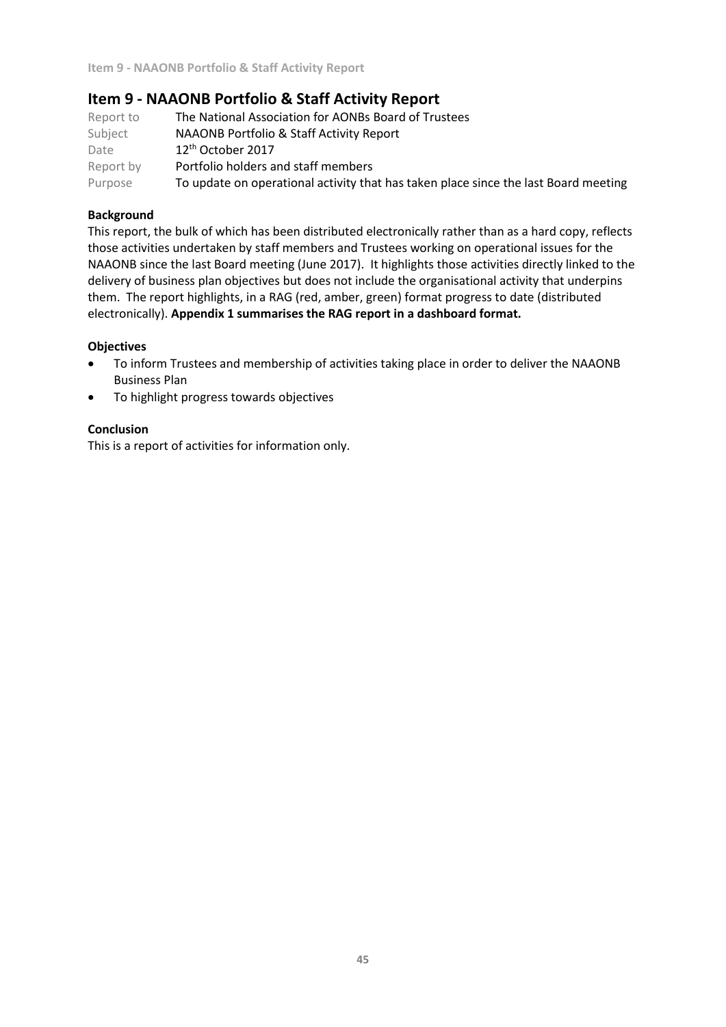# **Item 9 - NAAONB Portfolio & Staff Activity Report**

| Report to | The National Association for AONBs Board of Trustees                                |
|-----------|-------------------------------------------------------------------------------------|
| Subject   | NAAONB Portfolio & Staff Activity Report                                            |
| Date      | 12 <sup>th</sup> October 2017                                                       |
| Report by | Portfolio holders and staff members                                                 |
| Purpose   | To update on operational activity that has taken place since the last Board meeting |

### **Background**

This report, the bulk of which has been distributed electronically rather than as a hard copy, reflects those activities undertaken by staff members and Trustees working on operational issues for the NAAONB since the last Board meeting (June 2017). It highlights those activities directly linked to the delivery of business plan objectives but does not include the organisational activity that underpins them. The report highlights, in a RAG (red, amber, green) format progress to date (distributed electronically). **Appendix 1 summarises the RAG report in a dashboard format.** 

### **Objectives**

- To inform Trustees and membership of activities taking place in order to deliver the NAAONB Business Plan
- To highlight progress towards objectives

### **Conclusion**

This is a report of activities for information only.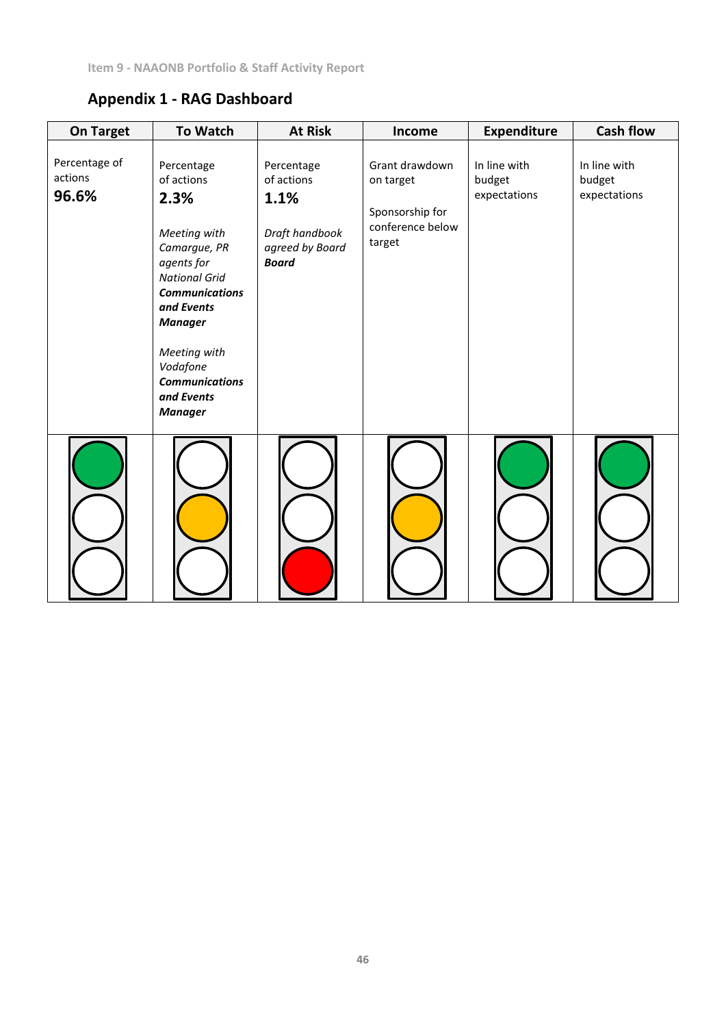# **Appendix 1 - RAG Dashboard**

| <b>On Target</b>                  | <b>To Watch</b>                                                                                                                                                                                                                                      | <b>At Risk</b>                                                                        | Income                                                                       | <b>Expenditure</b>                     | <b>Cash flow</b>                       |
|-----------------------------------|------------------------------------------------------------------------------------------------------------------------------------------------------------------------------------------------------------------------------------------------------|---------------------------------------------------------------------------------------|------------------------------------------------------------------------------|----------------------------------------|----------------------------------------|
| Percentage of<br>actions<br>96.6% | Percentage<br>of actions<br>2.3%<br>Meeting with<br>Camargue, PR<br>agents for<br><b>National Grid</b><br><b>Communications</b><br>and Events<br><b>Manager</b><br>Meeting with<br>Vodafone<br><b>Communications</b><br>and Events<br><b>Manager</b> | Percentage<br>of actions<br>1.1%<br>Draft handbook<br>agreed by Board<br><b>Board</b> | Grant drawdown<br>on target<br>Sponsorship for<br>conference below<br>target | In line with<br>budget<br>expectations | In line with<br>budget<br>expectations |
|                                   |                                                                                                                                                                                                                                                      |                                                                                       |                                                                              |                                        |                                        |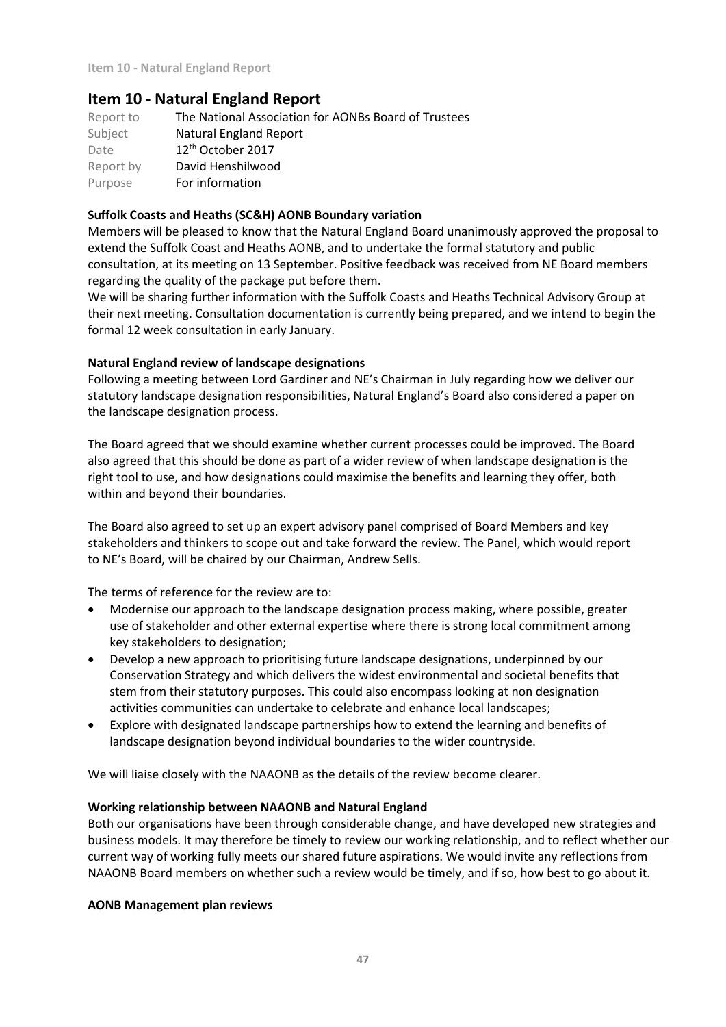# **Item 10 - Natural England Report**

| Report to | The National Association for AONBs Board of Trustees |
|-----------|------------------------------------------------------|
| Subject   | <b>Natural England Report</b>                        |
| Date      | $12th$ October 2017                                  |
| Report by | David Henshilwood                                    |
| Purpose   | For information                                      |

### **Suffolk Coasts and Heaths (SC&H) AONB Boundary variation**

Members will be pleased to know that the Natural England Board unanimously approved the proposal to extend the Suffolk Coast and Heaths AONB, and to undertake the formal statutory and public consultation, at its meeting on 13 September. Positive feedback was received from NE Board members regarding the quality of the package put before them.

We will be sharing further information with the Suffolk Coasts and Heaths Technical Advisory Group at their next meeting. Consultation documentation is currently being prepared, and we intend to begin the formal 12 week consultation in early January.

### **Natural England review of landscape designations**

Following a meeting between Lord Gardiner and NE's Chairman in July regarding how we deliver our statutory landscape designation responsibilities, Natural England's Board also considered a paper on the landscape designation process.

The Board agreed that we should examine whether current processes could be improved. The Board also agreed that this should be done as part of a wider review of when landscape designation is the right tool to use, and how designations could maximise the benefits and learning they offer, both within and beyond their boundaries.

The Board also agreed to set up an expert advisory panel comprised of Board Members and key stakeholders and thinkers to scope out and take forward the review. The Panel, which would report to NE's Board, will be chaired by our Chairman, Andrew Sells.

The terms of reference for the review are to:

- Modernise our approach to the landscape designation process making, where possible, greater use of stakeholder and other external expertise where there is strong local commitment among key stakeholders to designation;
- Develop a new approach to prioritising future landscape designations, underpinned by our Conservation Strategy and which delivers the widest environmental and societal benefits that stem from their statutory purposes. This could also encompass looking at non designation activities communities can undertake to celebrate and enhance local landscapes;
- Explore with designated landscape partnerships how to extend the learning and benefits of landscape designation beyond individual boundaries to the wider countryside.

We will liaise closely with the NAAONB as the details of the review become clearer.

### **Working relationship between NAAONB and Natural England**

Both our organisations have been through considerable change, and have developed new strategies and business models. It may therefore be timely to review our working relationship, and to reflect whether our current way of working fully meets our shared future aspirations. We would invite any reflections from NAAONB Board members on whether such a review would be timely, and if so, how best to go about it.

### **AONB Management plan reviews**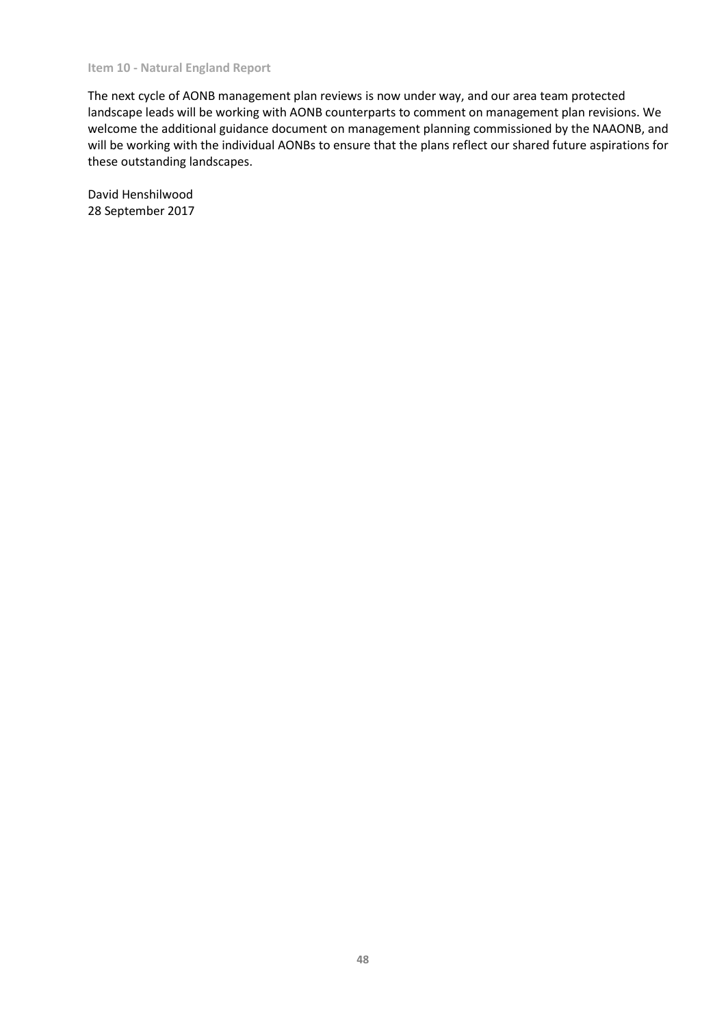#### **Item 10 - Natural England Report**

The next cycle of AONB management plan reviews is now under way, and our area team protected landscape leads will be working with AONB counterparts to comment on management plan revisions. We welcome the additional guidance document on management planning commissioned by the NAAONB, and will be working with the individual AONBs to ensure that the plans reflect our shared future aspirations for these outstanding landscapes.

David Henshilwood 28 September 2017